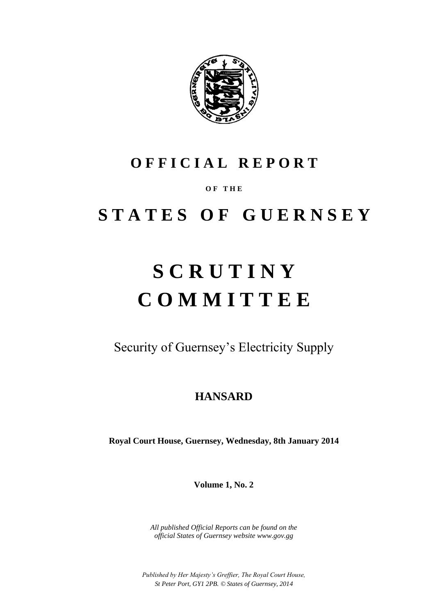

# **O F F I C I A L R E P O R T**

# **O F T H E**

# **S T A T E S O F G U E R N S E Y**

# **S C R U T I N Y C O M M I T T E E**

Security of Guernsey's Electricity Supply

# **HANSARD**

**Royal Court House, Guernsey, Wednesday, 8th January 2014**

**Volume 1, No. 2**

*All published Official Reports can be found on the official States of Guernsey website www.gov.gg*

*Published by Her Majesty's Greffier, The Royal Court House, St Peter Port, GY1 2PB. © States of Guernsey, 2014*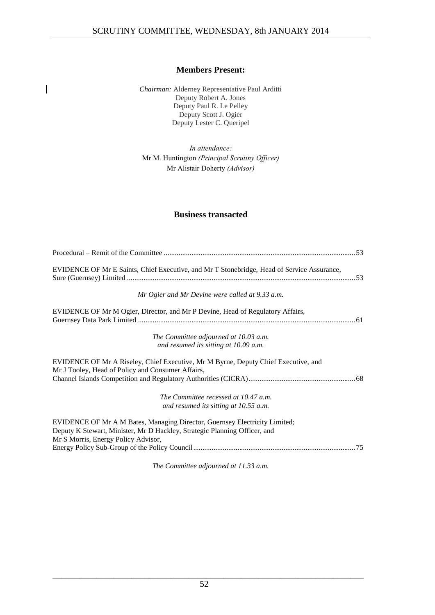# **Members Present:**

*Chairman:* Alderney Representative Paul Arditti Deputy Robert A. Jones Deputy Paul R. Le Pelley Deputy Scott J. Ogier Deputy Lester C. Queripel

 $\overline{\phantom{a}}$ 

*In attendance:* Mr M. Huntington *(Principal Scrutiny Officer)* Mr Alistair Doherty *(Advisor)*

# **Business transacted**

*The Committee adjourned at 11.33 a.m.*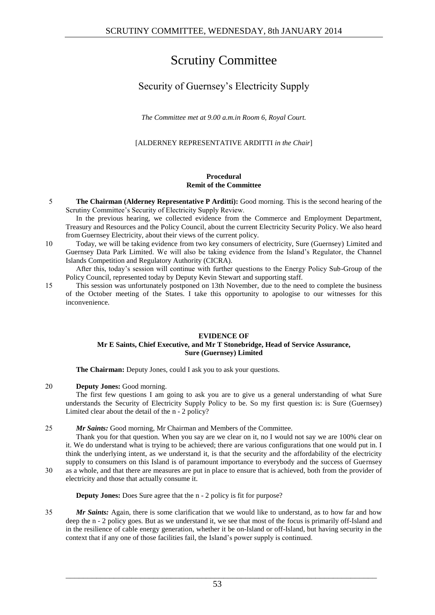# Scrutiny Committee

# Security of Guernsey's Electricity Supply

*The Committee met at 9.00 a.m.in Room 6, Royal Court.*

[ALDERNEY REPRESENTATIVE ARDITTI *in the Chair*]

# **Procedural Remit of the Committee**

5 **The Chairman (Alderney Representative P Arditti):** Good morning. This is the second hearing of the Scrutiny Committee's Security of Electricity Supply Review.

In the previous hearing, we collected evidence from the Commerce and Employment Department, Treasury and Resources and the Policy Council, about the current Electricity Security Policy. We also heard from Guernsey Electricity, about their views of the current policy.

10 Today, we will be taking evidence from two key consumers of electricity, Sure (Guernsey) Limited and Guernsey Data Park Limited. We will also be taking evidence from the Island's Regulator, the Channel Islands Competition and Regulatory Authority (CICRA).

After this, today's session will continue with further questions to the Energy Policy Sub-Group of the Policy Council, represented today by Deputy Kevin Stewart and supporting staff.

15 This session was unfortunately postponed on 13th November, due to the need to complete the business of the October meeting of the States. I take this opportunity to apologise to our witnesses for this inconvenience.

# **EVIDENCE OF Mr E Saints, Chief Executive, and Mr T Stonebridge, Head of Service Assurance, Sure (Guernsey) Limited**

The Chairman: Deputy Jones, could I ask you to ask your questions.

20 **Deputy Jones:** Good morning.

The first few questions I am going to ask you are to give us a general understanding of what Sure understands the Security of Electricity Supply Policy to be. So my first question is: is Sure (Guernsey) Limited clear about the detail of the n - 2 policy?

25 *Mr Saints:* Good morning, Mr Chairman and Members of the Committee.

Thank you for that question. When you say are we clear on it, no I would not say we are 100% clear on it. We do understand what is trying to be achieved; there are various configurations that one would put in. I think the underlying intent, as we understand it, is that the security and the affordability of the electricity supply to consumers on this Island is of paramount importance to everybody and the success of Guernsey 30 as a whole, and that there are measures are put in place to ensure that is achieved, both from the provider of

electricity and those that actually consume it.

**Deputy Jones:** Does Sure agree that the n - 2 policy is fit for purpose?

35 *Mr Saints:* Again, there is some clarification that we would like to understand, as to how far and how deep the n - 2 policy goes. But as we understand it, we see that most of the focus is primarily off-Island and in the resilience of cable energy generation, whether it be on-Island or off-Island, but having security in the context that if any one of those facilities fail, the Island's power supply is continued.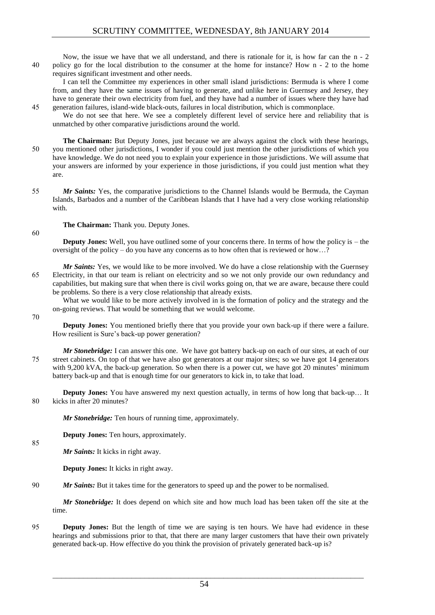Now, the issue we have that we all understand, and there is rationale for it, is how far can the n - 2 40 policy go for the local distribution to the consumer at the home for instance? How n - 2 to the home requires significant investment and other needs.

I can tell the Committee my experiences in other small island jurisdictions: Bermuda is where I come from, and they have the same issues of having to generate, and unlike here in Guernsey and Jersey, they have to generate their own electricity from fuel, and they have had a number of issues where they have had 45 generation failures, island-wide black-outs, failures in local distribution, which is commonplace.

We do not see that here. We see a completely different level of service here and reliability that is unmatched by other comparative jurisdictions around the world.

**The Chairman:** But Deputy Jones, just because we are always against the clock with these hearings, 50 you mentioned other jurisdictions, I wonder if you could just mention the other jurisdictions of which you have knowledge. We do not need you to explain your experience in those jurisdictions. We will assume that your answers are informed by your experience in those jurisdictions, if you could just mention what they are.

55 *Mr Saints:* Yes, the comparative jurisdictions to the Channel Islands would be Bermuda, the Cayman Islands, Barbados and a number of the Caribbean Islands that I have had a very close working relationship with.

**The Chairman:** Thank you. Deputy Jones.

60

**Deputy Jones:** Well, you have outlined some of your concerns there. In terms of how the policy is – the oversight of the policy – do you have any concerns as to how often that is reviewed or how…?

*Mr Saints:* Yes, we would like to be more involved. We do have a close relationship with the Guernsey 65 Electricity, in that our team is reliant on electricity and so we not only provide our own redundancy and capabilities, but making sure that when there is civil works going on, that we are aware, because there could be problems. So there is a very close relationship that already exists.

What we would like to be more actively involved in is the formation of policy and the strategy and the on-going reviews. That would be something that we would welcome.

70

85

**Deputy Jones:** You mentioned briefly there that you provide your own back-up if there were a failure. How resilient is Sure's back-up power generation?

*Mr Stonebridge:* I can answer this one. We have got battery back-up on each of our sites, at each of our 75 street cabinets. On top of that we have also got generators at our major sites; so we have got 14 generators with 9,200 kVA, the back-up generation. So when there is a power cut, we have got 20 minutes' minimum battery back-up and that is enough time for our generators to kick in, to take that load.

**Deputy Jones:** You have answered my next question actually, in terms of how long that back-up… It 80 kicks in after 20 minutes?

*Mr Stonebridge:* Ten hours of running time, approximately.

**Deputy Jones:** Ten hours, approximately.

*Mr Saints:* It kicks in right away.

**Deputy Jones:** It kicks in right away.

90 *Mr Saints:* But it takes time for the generators to speed up and the power to be normalised.

*Mr Stonebridge:* It does depend on which site and how much load has been taken off the site at the time.

95 **Deputy Jones:** But the length of time we are saying is ten hours. We have had evidence in these hearings and submissions prior to that, that there are many larger customers that have their own privately generated back-up. How effective do you think the provision of privately generated back-up is?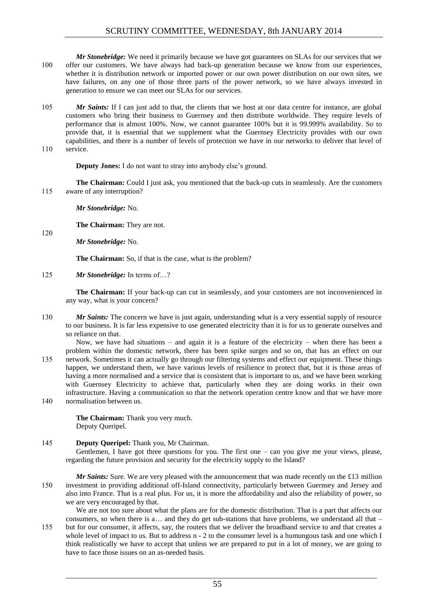*Mr Stonebridge:* We need it primarily because we have got guarantees on SLAs for our services that we 100 offer our customers. We have always had back-up generation because we know from our experiences, whether it is distribution network or imported power or our own power distribution on our own sites, we have failures, on any one of those three parts of the power network, so we have always invested in generation to ensure we can meet our SLAs for our services.

105 *Mr Saints:* If I can just add to that, the clients that we host at our data centre for instance, are global customers who bring their business to Guernsey and then distribute worldwide. They require levels of performance that is almost 100%. Now, we cannot guarantee 100% but it is 99.999% availability. So to provide that, it is essential that we supplement what the Guernsey Electricity provides with our own capabilities, and there is a number of levels of protection we have in our networks to deliver that level of 110 service.

**Deputy Jones:** I do not want to stray into anybody else's ground.

**The Chairman:** Could I just ask, you mentioned that the back-up cuts in seamlessly. Are the customers 115 aware of any interruption?

*Mr Stonebridge:* No.

**The Chairman:** They are not.

120

*Mr Stonebridge:* No.

**The Chairman:** So, if that is the case, what is the problem?

125 *Mr Stonebridge:* In terms of…?

**The Chairman:** If your back-up can cut in seamlessly, and your customers are not inconvenienced in any way, what is your concern?

- 130 *Mr Saints:* The concern we have is just again, understanding what is a very essential supply of resource to our business. It is far less expensive to use generated electricity than it is for us to generate ourselves and so reliance on that.
- Now, we have had situations and again it is a feature of the electricity when there has been a problem within the domestic network, there has been spike surges and so on, that has an effect on our 135 network. Sometimes it can actually go through our filtering systems and effect our equipment. These things happen, we understand them, we have various levels of resilience to protect that, but it is those areas of having a more normalised and a service that is consistent that is important to us, and we have been working with Guernsey Electricity to achieve that, particularly when they are doing works in their own infrastructure. Having a communication so that the network operation centre know and that we have more 140 normalisation between us.

**The Chairman:** Thank you very much. Deputy Queripel.

# 145 **Deputy Queripel:** Thank you, Mr Chairman.

Gentlemen, I have got three questions for you. The first one – can you give me your views, please, regarding the future provision and security for the electricity supply to the Island?

*Mr Saints:* Sure. We are very pleased with the announcement that was made recently on the £13 million 150 investment in providing additional off-Island connectivity, particularly between Guernsey and Jersey and also into France. That is a real plus. For us, it is more the affordability and also the reliability of power, so we are very encouraged by that.

We are not too sure about what the plans are for the domestic distribution. That is a part that affects our consumers, so when there is a… and they do get sub-stations that have problems, we understand all that – 155 but for our consumer, it affects, say, the routers that we deliver the broadband service to and that creates a whole level of impact to us. But to address n - 2 to the consumer level is a humungous task and one which I think realistically we have to accept that unless we are prepared to put in a lot of money, we are going to have to face those issues on an as-needed basis.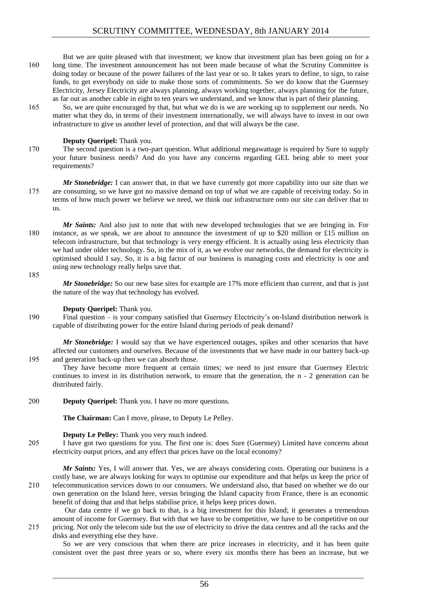But we are quite pleased with that investment; we know that investment plan has been going on for a 160 long time. The investment announcement has not been made because of what the Scrutiny Committee is doing today or because of the power failures of the last year or so. It takes years to define, to sign, to raise funds, to get everybody on side to make those sorts of commitments. So we do know that the Guernsey Electricity, Jersey Electricity are always planning, always working together, always planning for the future, as far out as another cable in eight to ten years we understand, and we know that is part of their planning.

165 So, we are quite encouraged by that, but what we do is we are working up to supplement our needs. No matter what they do, in terms of their investment internationally, we will always have to invest in our own infrastructure to give us another level of protection, and that will always be the case.

# **Deputy Queripel:** Thank you.

170 The second question is a two-part question. What additional megawattage is required by Sure to supply your future business needs? And do you have any concerns regarding GEL being able to meet your requirements?

*Mr Stonebridge:* I can answer that, in that we have currently got more capability into our site than we 175 are consuming, so we have got no massive demand on top of what we are capable of receiving today. So in terms of how much power we believe we need, we think our infrastructure onto our site can deliver that to us.

*Mr Saints:* And also just to note that with new developed technologies that we are bringing in. For 180 instance, as we speak, we are about to announce the investment of up to \$20 million or £15 million on telecom infrastructure, but that technology is very energy efficient. It is actually using less electricity than we had under older technology. So, in the mix of it, as we evolve our networks, the demand for electricity is optimised should I say. So, it is a big factor of our business is managing costs and electricity is one and using new technology really helps save that.

185

*Mr Stonebridge:* So our new base sites for example are 17% more efficient than current, and that is just the nature of the way that technology has evolved.

#### **Deputy Queripel:** Thank you.

190 Final question – is your company satisfied that Guernsey Electricity's on-Island distribution network is capable of distributing power for the entire Island during periods of peak demand?

*Mr Stonebridge:* I would say that we have experienced outages, spikes and other scenarios that have affected our customers and ourselves. Because of the investments that we have made in our battery back-up 195 and generation back-up then we can absorb those.

They have become more frequent at certain times; we need to just ensure that Guernsey Electric continues to invest in its distribution network, to ensure that the generation, the n - 2 generation can be distributed fairly.

200 **Deputy Queripel:** Thank you. I have no more questions.

**The Chairman:** Can I move, please, to Deputy Le Pelley.

#### **Deputy Le Pelley:** Thank you very much indeed.

205 I have got two questions for you. The first one is: does Sure (Guernsey) Limited have concerns about electricity output prices, and any effect that prices have on the local economy?

*Mr Saints:* Yes, I will answer that. Yes, we are always considering costs. Operating our business is a costly base, we are always looking for ways to optimise our expenditure and that helps us keep the price of 210 telecommunication services down to our consumers. We understand also, that based on whether we do our own generation on the Island here, versus bringing the Island capacity from France, there is an economic benefit of doing that and that helps stabilise price, it helps keep prices down.

Our data centre if we go back to that, is a big investment for this Island; it generates a tremendous amount of income for Guernsey. But with that we have to be competitive, we have to be competitive on our 215 pricing. Not only the telecom side but the use of electricity to drive the data centres and all the racks and the disks and everything else they have.

So we are very conscious that when there are price increases in electricity, and it has been quite consistent over the past three years or so, where every six months there has been an increase, but we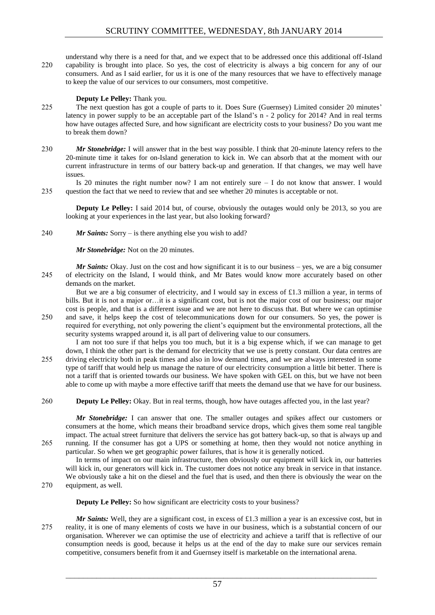understand why there is a need for that, and we expect that to be addressed once this additional off-Island 220 capability is brought into place. So yes, the cost of electricity is always a big concern for any of our consumers. And as I said earlier, for us it is one of the many resources that we have to effectively manage to keep the value of our services to our consumers, most competitive.

# **Deputy Le Pelley:** Thank you.

- 225 The next question has got a couple of parts to it. Does Sure (Guernsey) Limited consider 20 minutes' latency in power supply to be an acceptable part of the Island's n - 2 policy for 2014? And in real terms how have outages affected Sure, and how significant are electricity costs to your business? Do you want me to break them down?
- 230 *Mr Stonebridge:* I will answer that in the best way possible. I think that 20-minute latency refers to the 20-minute time it takes for on-Island generation to kick in. We can absorb that at the moment with our current infrastructure in terms of our battery back-up and generation. If that changes, we may well have issues.

Is 20 minutes the right number now? I am not entirely sure  $-$  I do not know that answer. I would 235 question the fact that we need to review that and see whether 20 minutes is acceptable or not.

**Deputy Le Pelley:** I said 2014 but, of course, obviously the outages would only be 2013, so you are looking at your experiences in the last year, but also looking forward?

#### 240 *Mr Saints:* Sorry – is there anything else you wish to add?

*Mr Stonebridge:* Not on the 20 minutes.

*Mr Saints:* Okay. Just on the cost and how significant it is to our business – yes, we are a big consumer 245 of electricity on the Island, I would think, and Mr Bates would know more accurately based on other demands on the market.

But we are a big consumer of electricity, and I would say in excess of £1.3 million a year, in terms of bills. But it is not a major or…it is a significant cost, but is not the major cost of our business; our major cost is people, and that is a different issue and we are not here to discuss that. But where we can optimise 250 and save, it helps keep the cost of telecommunications down for our consumers. So yes, the power is required for everything, not only powering the client's equipment but the environmental protections, all the

security systems wrapped around it, is all part of delivering value to our consumers.

I am not too sure if that helps you too much, but it is a big expense which, if we can manage to get down, I think the other part is the demand for electricity that we use is pretty constant. Our data centres are 255 driving electricity both in peak times and also in low demand times, and we are always interested in some type of tariff that would help us manage the nature of our electricity consumption a little bit better. There is not a tariff that is oriented towards our business. We have spoken with GEL on this, but we have not been able to come up with maybe a more effective tariff that meets the demand use that we have for our business.

260 **Deputy Le Pelley:** Okay. But in real terms, though, how have outages affected you, in the last year?

*Mr Stonebridge:* I can answer that one. The smaller outages and spikes affect our customers or consumers at the home, which means their broadband service drops, which gives them some real tangible impact. The actual street furniture that delivers the service has got battery back-up, so that is always up and 265 running. If the consumer has got a UPS or something at home, then they would not notice anything in particular. So when we get geographic power failures, that is how it is generally noticed.

In terms of impact on our main infrastructure, then obviously our equipment will kick in, our batteries will kick in, our generators will kick in. The customer does not notice any break in service in that instance. We obviously take a hit on the diesel and the fuel that is used, and then there is obviously the wear on the 270 equipment, as well.

**Deputy Le Pelley:** So how significant are electricity costs to your business?

*Mr Saints:* Well, they are a significant cost, in excess of £1.3 million a year is an excessive cost, but in 275 reality, it is one of many elements of costs we have in our business, which is a substantial concern of our organisation. Wherever we can optimise the use of electricity and achieve a tariff that is reflective of our consumption needs is good, because it helps us at the end of the day to make sure our services remain competitive, consumers benefit from it and Guernsey itself is marketable on the international arena.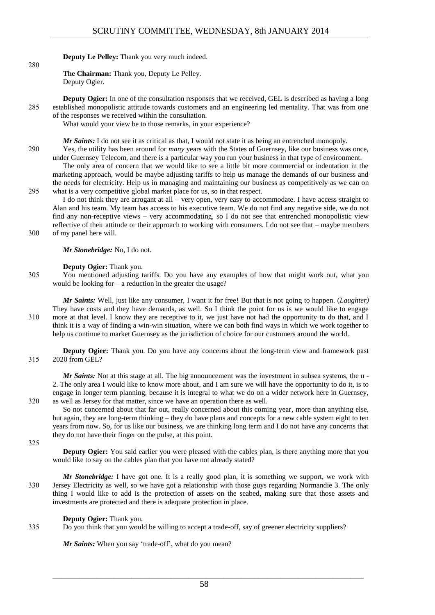**Deputy Le Pelley:** Thank you very much indeed.

**The Chairman:** Thank you, Deputy Le Pelley. Deputy Ogier.

**Deputy Ogier:** In one of the consultation responses that we received, GEL is described as having a long 285 established monopolistic attitude towards customers and an engineering led mentality. That was from one of the responses we received within the consultation.

What would your view be to those remarks, in your experience?

*Mr Saints:* I do not see it as critical as that, I would not state it as being an entrenched monopoly.

290 Yes, the utility has been around for *many* years with the States of Guernsey, like our business was once, under Guernsey Telecom, and there is a particular way you run your business in that type of environment.

The only area of concern that we would like to see a little bit more commercial or indentation in the marketing approach, would be maybe adjusting tariffs to help us manage the demands of our business and the needs for electricity. Help us in managing and maintaining our business as competitively as we can on 295 what is a very competitive global market place for us, so in that respect.

I do not think they are arrogant at all – very open, very easy to accommodate. I have access straight to Alan and his team. My team has access to his executive team. We do not find any negative side, we do not find any non-receptive views – very accommodating, so I do not see that entrenched monopolistic view reflective of their attitude or their approach to working with consumers. I do not see that – maybe members 300 of my panel here will.

*Mr Stonebridge:* No, I do not.

**Deputy Ogier:** Thank you.

305 You mentioned adjusting tariffs. Do you have any examples of how that might work out, what you would be looking for – a reduction in the greater the usage?

*Mr Saints:* Well, just like any consumer, I want it for free! But that is not going to happen. (*Laughter)* They have costs and they have demands, as well. So I think the point for us is we would like to engage 310 more at that level. I know they are receptive to it, we just have not had the opportunity to do that, and I think it is a way of finding a win-win situation, where we can both find ways in which we work together to help us continue to market Guernsey as the jurisdiction of choice for our customers around the world.

**Deputy Ogier:** Thank you. Do you have any concerns about the long-term view and framework past 315 2020 from GEL?

*Mr Saints:* Not at this stage at all. The big announcement was the investment in subsea systems, the n -2. The only area I would like to know more about, and I am sure we will have the opportunity to do it, is to engage in longer term planning, because it is integral to what we do on a wider network here in Guernsey, 320 as well as Jersey for that matter, since we have an operation there as well.

So not concerned about that far out, really concerned about this coming year, more than anything else, but again, they are long-term thinking – they do have plans and concepts for a new cable system eight to ten years from now. So, for us like our business, we are thinking long term and I do not have any concerns that they do not have their finger on the pulse, at this point.

325

280

**Deputy Ogier:** You said earlier you were pleased with the cables plan, is there anything more that you would like to say on the cables plan that you have not already stated?

*Mr Stonebridge:* I have got one. It is a really good plan, it is something we support, we work with 330 Jersey Electricity as well, so we have got a relationship with those guys regarding Normandie 3. The only thing I would like to add is the protection of assets on the seabed, making sure that those assets and investments are protected and there is adequate protection in place.

#### **Deputy Ogier:** Thank you.

335 Do you think that you would be willing to accept a trade-off, say of greener electricity suppliers?

*Mr Saints:* When you say 'trade-off', what do you mean?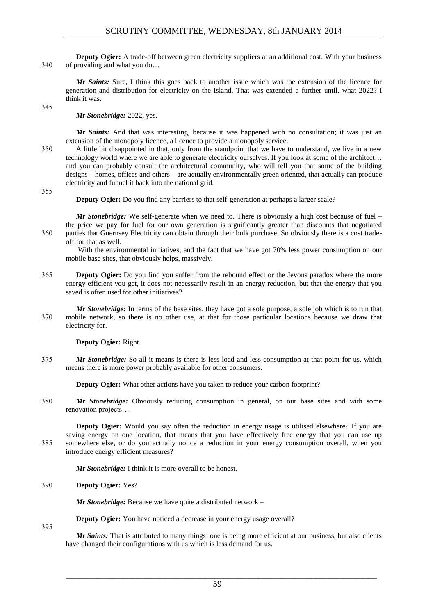**Deputy Ogier:** A trade-off between green electricity suppliers at an additional cost. With your business 340 of providing and what you do…

*Mr Saints:* Sure, I think this goes back to another issue which was the extension of the licence for generation and distribution for electricity on the Island. That was extended a further until, what 2022? I think it was.

345

*Mr Stonebridge:* 2022, yes.

*Mr Saints:* And that was interesting, because it was happened with no consultation; it was just an extension of the monopoly licence, a licence to provide a monopoly service.

350 A little bit disappointed in that, only from the standpoint that we have to understand, we live in a new technology world where we are able to generate electricity ourselves. If you look at some of the architect… and you can probably consult the architectural community, who will tell you that some of the building designs – homes, offices and others – are actually environmentally green oriented, that actually can produce electricity and funnel it back into the national grid.

355

**Deputy Ogier:** Do you find any barriers to that self-generation at perhaps a larger scale?

*Mr Stonebridge:* We self-generate when we need to. There is obviously a high cost because of fuel – the price we pay for fuel for our own generation is significantly greater than discounts that negotiated 360 parties that Guernsey Electricity can obtain through their bulk purchase. So obviously there is a cost tradeoff for that as well.

With the environmental initiatives, and the fact that we have got 70% less power consumption on our mobile base sites, that obviously helps, massively.

- 365 **Deputy Ogier:** Do you find you suffer from the rebound effect or the Jevons paradox where the more energy efficient you get, it does not necessarily result in an energy reduction, but that the energy that you saved is often used for other initiatives?
- *Mr Stonebridge:* In terms of the base sites, they have got a sole purpose, a sole job which is to run that 370 mobile network, so there is no other use, at that for those particular locations because we draw that electricity for.

**Deputy Ogier:** Right.

375 *Mr Stonebridge:* So all it means is there is less load and less consumption at that point for us, which means there is more power probably available for other consumers.

**Deputy Ogier:** What other actions have you taken to reduce your carbon footprint?

380 *Mr Stonebridge:* Obviously reducing consumption in general, on our base sites and with some renovation projects…

**Deputy Ogier:** Would you say often the reduction in energy usage is utilised elsewhere? If you are saving energy on one location, that means that you have effectively free energy that you can use up 385 somewhere else, or do you actually notice a reduction in your energy consumption overall, when you introduce energy efficient measures?

*Mr Stonebridge:* I think it is more overall to be honest.

390 **Deputy Ogier:** Yes?

*Mr Stonebridge:* Because we have quite a distributed network –

**Deputy Ogier:** You have noticed a decrease in your energy usage overall?

395

*Mr Saints:* That is attributed to many things: one is being more efficient at our business, but also clients have changed their configurations with us which is less demand for us.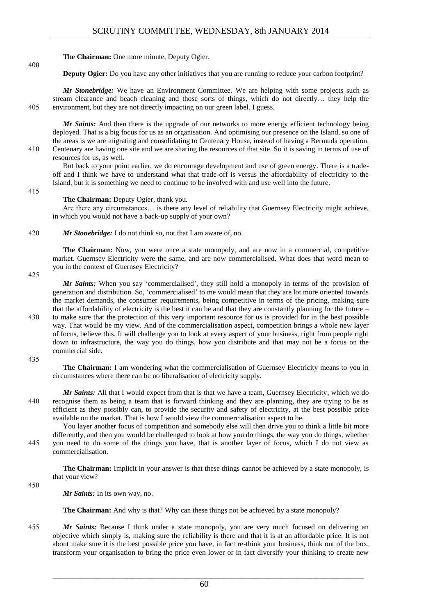**The Chairman:** One more minute, Deputy Ogier.

**Deputy Ogier:** Do you have any other initiatives that you are running to reduce your carbon footprint?

*Mr Stonebridge:* We have an Environment Committee. We are helping with some projects such as stream clearance and beach cleaning and those sorts of things, which do not directly… they help the 405 environment, but they are not directly impacting on our green label, I guess.

*Mr Saints:* And then there is the upgrade of our networks to more energy efficient technology being deployed. That is a big focus for us as an organisation. And optimising our presence on the Island, so one of the areas is we are migrating and consolidating to Centenary House, instead of having a Bermuda operation. 410 Centenary are having one site and we are sharing the resources of that site. So it is saving in terms of use of resources for us, as well.

415

400

But back to your point earlier, we do encourage development and use of green energy. There is a tradeoff and I think we have to understand what that trade-off is versus the affordability of electricity to the Island, but it is something we need to continue to be involved with and use well into the future.

**The Chairman:** Deputy Ogier, thank you.

Are there any circumstances… is there any level of reliability that Guernsey Electricity might achieve, in which you would not have a back-up supply of your own?

420 *Mr Stonebridge:* I do not think so, not that I am aware of, no.

**The Chairman:** Now, you were once a state monopoly, and are now in a commercial, competitive market. Guernsey Electricity were the same, and are now commercialised. What does that word mean to you in the context of Guernsey Electricity?

425

*Mr Saints:* When you say 'commercialised', they still hold a monopoly in terms of the provision of generation and distribution. So, 'commercialised' to me would mean that they are lot more oriented towards the market demands, the consumer requirements, being competitive in terms of the pricing, making sure that the affordability of electricity is the best it can be and that they are constantly planning for the future – 430 to make sure that the protection of this very important resource for us is provided for in the best possible way. That would be my view. And of the commercialisation aspect, competition brings a whole new layer of focus, believe this. It will challenge you to look at every aspect of your business, right from people right down to infrastructure, the way you do things, how you distribute and that may not be a focus on the commercial side.

435

**The Chairman:** I am wondering what the commercialisation of Guernsey Electricity means to you in circumstances where there can be no liberalisation of electricity supply.

*Mr Saints:* All that I would expect from that is that we have a team, Guernsey Electricity, which we do 440 recognise them as being a team that is forward thinking and they are planning, they are trying to be as efficient as they possibly can, to provide the security and safety of electricity, at the best possible price available on the market. That is how I would view the commercialisation aspect to be.

You layer another focus of competition and somebody else will then drive you to think a little bit more differently, and then you would be challenged to look at how you do things, the way you do things, whether 445 you need to do some of the things you have, that is another layer of focus, which I do not view as commercialisation.

**The Chairman:** Implicit in your answer is that these things cannot be achieved by a state monopoly, is that your view?

450

*Mr Saints:* In its own way, no.

**The Chairman:** And why is that? Why can these things not be achieved by a state monopoly?

455 *Mr Saints:* Because I think under a state monopoly, you are very much focused on delivering an objective which simply is, making sure the reliability is there and that it is at an affordable price. It is not about make sure it is the best possible price you have, in fact re-think your business, think out of the box, transform your organisation to bring the price even lower or in fact diversify your thinking to create new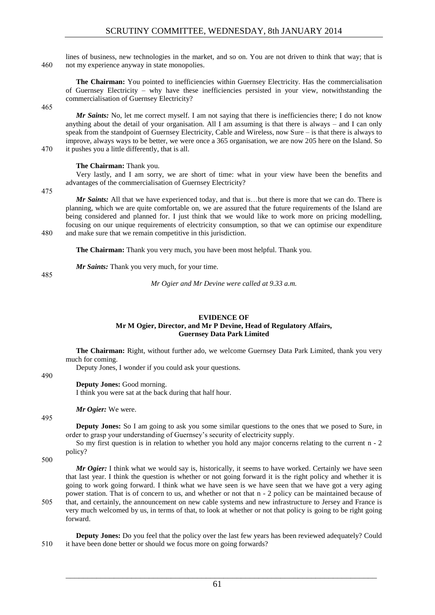lines of business, new technologies in the market, and so on. You are not driven to think that way; that is 460 not my experience anyway in state monopolies.

**The Chairman:** You pointed to inefficiencies within Guernsey Electricity. Has the commercialisation of Guernsey Electricity – why have these inefficiencies persisted in your view, notwithstanding the commercialisation of Guernsey Electricity?

465

*Mr Saints:* No, let me correct myself. I am not saying that there is inefficiencies there; I do not know anything about the detail of your organisation. All I am assuming is that there is always – and I can only speak from the standpoint of Guernsey Electricity, Cable and Wireless, now Sure – is that there is always to improve, always ways to be better, we were once a 365 organisation, we are now 205 here on the Island. So 470 it pushes you a little differently, that is all.

#### **The Chairman:** Thank you.

Very lastly, and I am sorry, we are short of time: what in your view have been the benefits and advantages of the commercialisation of Guernsey Electricity?

475

*Mr Saints:* All that we have experienced today, and that is...but there is more that we can do. There is planning, which we are quite comfortable on, we are assured that the future requirements of the Island are being considered and planned for. I just think that we would like to work more on pricing modelling, focusing on our unique requirements of electricity consumption, so that we can optimise our expenditure 480 and make sure that we remain competitive in this jurisdiction.

**The Chairman:** Thank you very much, you have been most helpful. Thank you.

*Mr Saints:* Thank you very much, for your time.

485

# **EVIDENCE OF Mr M Ogier, Director, and Mr P Devine, Head of Regulatory Affairs, Guernsey Data Park Limited**

*Mr Ogier and Mr Devine were called at 9.33 a.m.*

**The Chairman:** Right, without further ado, we welcome Guernsey Data Park Limited, thank you very much for coming.

Deputy Jones, I wonder if you could ask your questions.

490

495

#### **Deputy Jones:** Good morning.

I think you were sat at the back during that half hour.

*Mr Ogier:* We were.

**Deputy Jones:** So I am going to ask you some similar questions to the ones that we posed to Sure, in order to grasp your understanding of Guernsey's security of electricity supply.

So my first question is in relation to whether you hold any major concerns relating to the current n - 2 policy?

500

*Mr Ogier:* I think what we would say is, historically, it seems to have worked. Certainly we have seen that last year. I think the question is whether or not going forward it is the right policy and whether it is going to work going forward. I think what we have seen is we have seen that we have got a very aging power station. That is of concern to us, and whether or not that n - 2 policy can be maintained because of 505 that, and certainly, the announcement on new cable systems and new infrastructure to Jersey and France is very much welcomed by us, in terms of that, to look at whether or not that policy is going to be right going forward.

**Deputy Jones:** Do you feel that the policy over the last few years has been reviewed adequately? Could 510 it have been done better or should we focus more on going forwards?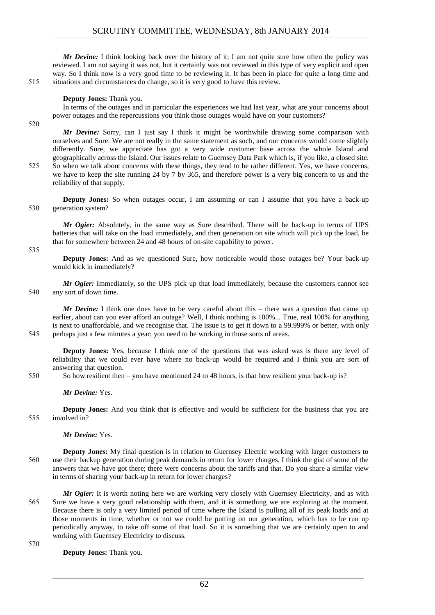*Mr Devine:* I think looking back over the history of it; I am not quite sure how often the policy was reviewed. I am not saying it was not, but it certainly was not reviewed in this type of very explicit and open way. So I think now is a very good time to be reviewing it. It has been in place for quite a long time and 515 situations and circumstances do change, so it is very good to have this review.

**Deputy Jones:** Thank you.

In terms of the outages and in particular the experiences we had last year, what are your concerns about power outages and the repercussions you think those outages would have on your customers?

520

*Mr Devine:* Sorry, can I just say I think it might be worthwhile drawing some comparison with ourselves and Sure. We are not really in the same statement as such, and our concerns would come slightly differently. Sure, we appreciate has got a very wide customer base across the whole Island and geographically across the Island. Our issues relate to Guernsey Data Park which is, if you like, a closed site. 525 So when we talk about concerns with these things, they tend to be rather different. Yes, we have concerns, we have to keep the site running 24 by 7 by 365, and therefore power is a very big concern to us and the reliability of that supply.

**Deputy Jones:** So when outages occur, I am assuming or can I assume that you have a back-up 530 generation system?

*Mr Ogier:* Absolutely, in the same way as Sure described. There will be back-up in terms of UPS batteries that will take on the load immediately, and then generation on site which will pick up the load, be that for somewhere between 24 and 48 hours of on-site capability to power.

535

**Deputy Jones:** And as we questioned Sure, how noticeable would those outages be? Your back-up would kick in immediately?

*Mr Ogier:* Immediately, so the UPS pick up that load immediately, because the customers cannot see 540 any sort of down time.

*Mr Devine:* I think one does have to be very careful about this – there was a question that came up earlier, about can you ever afford an outage? Well, I think nothing is 100%... True, real 100% for anything is next to unaffordable, and we recognise that. The issue is to get it down to a 99.999% or better, with only 545 perhaps just a few minutes a year; you need to be working in those sorts of areas.

**Deputy Jones:** Yes, because I think one of the questions that was asked was is there any level of reliability that we could ever have where no back-up would be required and I think you are sort of answering that question.

550 So how resilient then – you have mentioned 24 to 48 hours, is that how resilient your back-up is?

*Mr Devine:* Yes.

**Deputy Jones:** And you think that is effective and would be sufficient for the business that you are 555 involved in?

*Mr Devine:* Yes.

**Deputy Jones:** My final question is in relation to Guernsey Electric working with larger customers to 560 use their backup generation during peak demands in return for lower charges. I think the gist of some of the answers that we have got there; there were concerns about the tariffs and that. Do you share a similar view in terms of sharing your back-up in return for lower charges?

*Mr Ogier:* It is worth noting here we are working very closely with Guernsey Electricity, and as with 565 Sure we have a very good relationship with them, and it is something we are exploring at the moment. Because there is only a very limited period of time where the Island is pulling all of its peak loads and at those moments in time, whether or not we could be putting on our generation, which has to be run up periodically anyway, to take off some of that load. So it is something that we are certainly open to and working with Guernsey Electricity to discuss.

570

**Deputy Jones:** Thank you.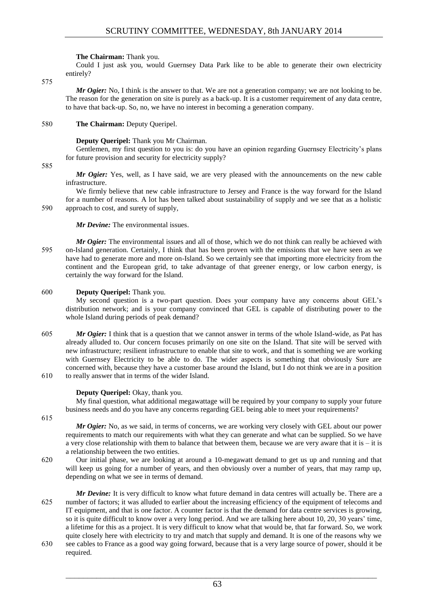#### **The Chairman:** Thank you.

Could I just ask you, would Guernsey Data Park like to be able to generate their own electricity entirely?

575

*Mr Ogier*: No, I think is the answer to that. We are not a generation company; we are not looking to be. The reason for the generation on site is purely as a back-up. It is a customer requirement of any data centre, to have that back-up. So, no, we have no interest in becoming a generation company.

# 580 **The Chairman:** Deputy Queripel.

# **Deputy Queripel:** Thank you Mr Chairman.

Gentlemen, my first question to you is: do you have an opinion regarding Guernsey Electricity's plans for future provision and security for electricity supply?

#### 585

*Mr Ogier:* Yes, well, as I have said, we are very pleased with the announcements on the new cable infrastructure.

We firmly believe that new cable infrastructure to Jersey and France is the way forward for the Island for a number of reasons. A lot has been talked about sustainability of supply and we see that as a holistic 590 approach to cost, and surety of supply,

*Mr Devine:* The environmental issues.

*Mr Ogier:* The environmental issues and all of those, which we do not think can really be achieved with 595 on-Island generation. Certainly, I think that has been proven with the emissions that we have seen as we have had to generate more and more on-Island. So we certainly see that importing more electricity from the continent and the European grid, to take advantage of that greener energy, or low carbon energy, is certainly the way forward for the Island.

# 600 **Deputy Queripel:** Thank you.

My second question is a two-part question. Does your company have any concerns about GEL's distribution network; and is your company convinced that GEL is capable of distributing power to the whole Island during periods of peak demand?

605 *Mr Ogier:* I think that is a question that we cannot answer in terms of the whole Island-wide, as Pat has already alluded to. Our concern focuses primarily on one site on the Island. That site will be served with new infrastructure; resilient infrastructure to enable that site to work, and that is something we are working with Guernsey Electricity to be able to do. The wider aspects is something that obviously Sure are concerned with, because they have a customer base around the Island, but I do not think we are in a position 610 to really answer that in terms of the wider Island.

#### **Deputy Queripel:** Okay, thank you.

My final question, what additional megawattage will be required by your company to supply your future business needs and do you have any concerns regarding GEL being able to meet your requirements?

615

*Mr Ogier:* No, as we said, in terms of concerns, we are working very closely with GEL about our power requirements to match our requirements with what they can generate and what can be supplied. So we have a very close relationship with them to balance that between them, because we are very aware that it is – it is a relationship between the two entities.

- 620 Our initial phase, we are looking at around a 10-megawatt demand to get us up and running and that will keep us going for a number of years, and then obviously over a number of years, that may ramp up, depending on what we see in terms of demand.
- *Mr Devine:* It is very difficult to know what future demand in data centres will actually be. There are a 625 number of factors; it was alluded to earlier about the increasing efficiency of the equipment of telecoms and IT equipment, and that is one factor. A counter factor is that the demand for data centre services is growing, so it is quite difficult to know over a very long period. And we are talking here about 10, 20, 30 years' time, a lifetime for this as a project. It is very difficult to know what that would be, that far forward. So, we work quite closely here with electricity to try and match that supply and demand. It is one of the reasons why we 630 see cables to France as a good way going forward, because that is a very large source of power, should it be
- required.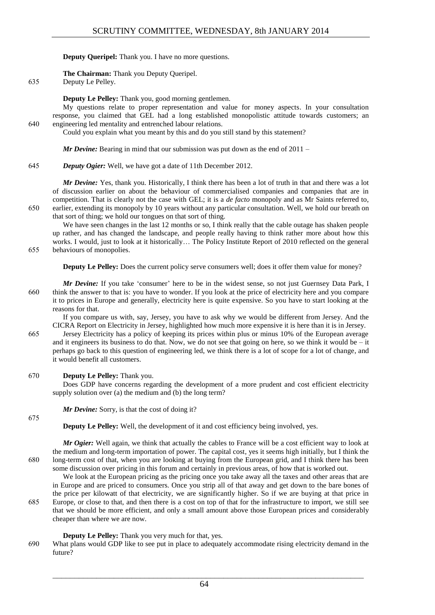**Deputy Queripel:** Thank you. I have no more questions.

**The Chairman:** Thank you Deputy Queripel.

635 Deputy Le Pelley.

**Deputy Le Pelley:** Thank you, good morning gentlemen.

My questions relate to proper representation and value for money aspects. In your consultation response, you claimed that GEL had a long established monopolistic attitude towards customers; an 640 engineering led mentality and entrenched labour relations.

Could you explain what you meant by this and do you still stand by this statement?

*Mr Devine:* Bearing in mind that our submission was put down as the end of 2011 –

645 *Deputy Ogier:* Well, we have got a date of 11th December 2012.

*Mr Devine:* Yes, thank you. Historically, I think there has been a lot of truth in that and there was a lot of discussion earlier on about the behaviour of commercialised companies and companies that are in competition. That is clearly not the case with GEL; it is a *de facto* monopoly and as Mr Saints referred to, 650 earlier, extending its monopoly by 10 years without any particular consultation. Well, we hold our breath on that sort of thing; we hold our tongues on that sort of thing.

We have seen changes in the last 12 months or so, I think really that the cable outage has shaken people up rather, and has changed the landscape, and people really having to think rather more about how this works. I would, just to look at it historically… The Policy Institute Report of 2010 reflected on the general 655 behaviours of monopolies.

**Deputy Le Pelley:** Does the current policy serve consumers well; does it offer them value for money?

*Mr Devine:* If you take 'consumer' here to be in the widest sense, so not just Guernsey Data Park, I 660 think the answer to that is: you have to wonder. If you look at the price of electricity here and you compare it to prices in Europe and generally, electricity here is quite expensive. So you have to start looking at the reasons for that.

If you compare us with, say, Jersey, you have to ask why we would be different from Jersey. And the CICRA Report on Electricity in Jersey, highlighted how much more expensive it is here than it is in Jersey.

665 Jersey Electricity has a policy of keeping its prices within plus or minus 10% of the European average and it engineers its business to do that. Now, we do not see that going on here, so we think it would be  $-$  it perhaps go back to this question of engineering led, we think there is a lot of scope for a lot of change, and it would benefit all customers.

# 670 **Deputy Le Pelley:** Thank you.

Does GDP have concerns regarding the development of a more prudent and cost efficient electricity supply solution over (a) the medium and (b) the long term?

*Mr Devine:* Sorry, is that the cost of doing it?

**Deputy Le Pelley:** Well, the development of it and cost efficiency being involved, yes.

*Mr Ogier:* Well again, we think that actually the cables to France will be a cost efficient way to look at the medium and long-term importation of power. The capital cost, yes it seems high initially, but I think the 680 long-term cost of that, when you are looking at buying from the European grid, and I think there has been some discussion over pricing in this forum and certainly in previous areas, of how that is worked out.

We look at the European pricing as the pricing once you take away all the taxes and other areas that are in Europe and are priced to consumers. Once you strip all of that away and get down to the bare bones of the price per kilowatt of that electricity, we are significantly higher. So if we are buying at that price in 685 Europe, or close to that, and then there is a cost on top of that for the infrastructure to import, we still see that we should be more efficient, and only a small amount above those European prices and considerably cheaper than where we are now.

# **Deputy Le Pelley:** Thank you very much for that, yes.

690 What plans would GDP like to see put in place to adequately accommodate rising electricity demand in the future?

675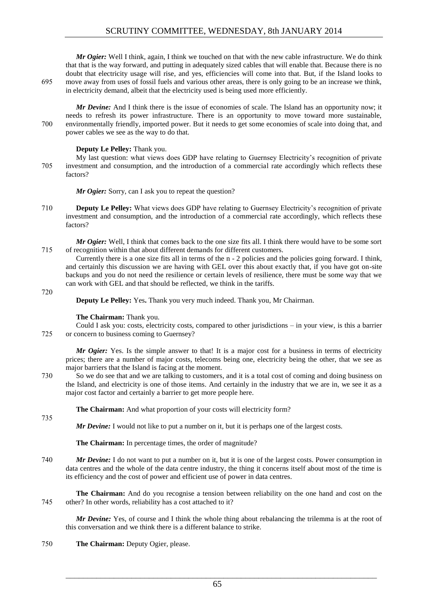*Mr Ogier:* Well I think, again, I think we touched on that with the new cable infrastructure. We do think that that is the way forward, and putting in adequately sized cables that will enable that. Because there is no doubt that electricity usage will rise, and yes, efficiencies will come into that. But, if the Island looks to 695 move away from uses of fossil fuels and various other areas, there is only going to be an increase we think, in electricity demand, albeit that the electricity used is being used more efficiently.

*Mr Devine:* And I think there is the issue of economies of scale. The Island has an opportunity now; it needs to refresh its power infrastructure. There is an opportunity to move toward more sustainable, 700 environmentally friendly, imported power. But it needs to get some economies of scale into doing that, and power cables we see as the way to do that.

#### **Deputy Le Pelley:** Thank you.

My last question: what views does GDP have relating to Guernsey Electricity's recognition of private 705 investment and consumption, and the introduction of a commercial rate accordingly which reflects these factors?

*Mr Ogier:* Sorry, can I ask you to repeat the question?

710 **Deputy Le Pelley:** What views does GDP have relating to Guernsey Electricity's recognition of private investment and consumption, and the introduction of a commercial rate accordingly, which reflects these factors?

*Mr Ogier:* Well, I think that comes back to the one size fits all. I think there would have to be some sort 715 of recognition within that about different demands for different customers.

Currently there is a one size fits all in terms of the n - 2 policies and the policies going forward. I think, and certainly this discussion we are having with GEL over this about exactly that, if you have got on-site backups and you do not need the resilience or certain levels of resilience, there must be some way that we can work with GEL and that should be reflected, we think in the tariffs.

#### 720

735

**Deputy Le Pelley:** Yes**.** Thank you very much indeed. Thank you, Mr Chairman.

# **The Chairman:** Thank you.

Could I ask you: costs, electricity costs, compared to other jurisdictions – in your view, is this a barrier 725 or concern to business coming to Guernsey?

*Mr Ogier:* Yes. Is the simple answer to that! It is a major cost for a business in terms of electricity prices; there are a number of major costs, telecoms being one, electricity being the other, that we see as major barriers that the Island is facing at the moment.

730 So we do see that and we are talking to customers, and it is a total cost of coming and doing business on the Island, and electricity is one of those items. And certainly in the industry that we are in, we see it as a major cost factor and certainly a barrier to get more people here.

#### **The Chairman:** And what proportion of your costs will electricity form?

*Mr Devine:* I would not like to put a number on it, but it is perhaps one of the largest costs.

**The Chairman:** In percentage times, the order of magnitude?

740 *Mr Devine:* I do not want to put a number on it, but it is one of the largest costs. Power consumption in data centres and the whole of the data centre industry, the thing it concerns itself about most of the time is its efficiency and the cost of power and efficient use of power in data centres.

**The Chairman:** And do you recognise a tension between reliability on the one hand and cost on the 745 other? In other words, reliability has a cost attached to it?

*Mr Devine:* Yes, of course and I think the whole thing about rebalancing the trilemma is at the root of this conversation and we think there is a different balance to strike.

750 **The Chairman:** Deputy Ogier, please.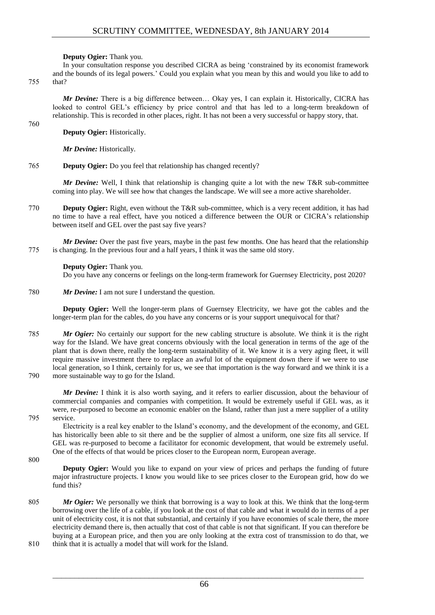**Deputy Ogier:** Thank you.

In your consultation response you described CICRA as being 'constrained by its economist framework and the bounds of its legal powers.' Could you explain what you mean by this and would you like to add to 755 that?

*Mr Devine:* There is a big difference between… Okay yes, I can explain it. Historically, CICRA has looked to control GEL's efficiency by price control and that has led to a long-term breakdown of relationship. This is recorded in other places, right. It has not been a very successful or happy story, that.

760

**Deputy Ogier:** Historically.

*Mr Devine:* Historically.

765 **Deputy Ogier:** Do you feel that relationship has changed recently?

*Mr Devine:* Well, I think that relationship is changing quite a lot with the new T&R sub-committee coming into play. We will see how that changes the landscape. We will see a more active shareholder.

770 **Deputy Ogier:** Right, even without the T&R sub-committee, which is a very recent addition, it has had no time to have a real effect, have you noticed a difference between the OUR or CICRA's relationship between itself and GEL over the past say five years?

*Mr Devine:* Over the past five years, maybe in the past few months. One has heard that the relationship 775 is changing. In the previous four and a half years, I think it was the same old story.

# **Deputy Ogier:** Thank you.

Do you have any concerns or feelings on the long-term framework for Guernsey Electricity, post 2020?

780 *Mr Devine:* I am not sure I understand the question.

**Deputy Ogier:** Well the longer-term plans of Guernsey Electricity, we have got the cables and the longer-term plan for the cables, do you have any concerns or is your support unequivocal for that?

785 *Mr Ogier:* No certainly our support for the new cabling structure is absolute. We think it is the right way for the Island. We have great concerns obviously with the local generation in terms of the age of the plant that is down there, really the long-term sustainability of it. We know it is a very aging fleet, it will require massive investment there to replace an awful lot of the equipment down there if we were to use local generation, so I think, certainly for us, we see that importation is the way forward and we think it is a 790 more sustainable way to go for the Island.

*Mr Devine:* I think it is also worth saying, and it refers to earlier discussion, about the behaviour of commercial companies and companies with competition. It would be extremely useful if GEL was, as it were, re-purposed to become an economic enabler on the Island, rather than just a mere supplier of a utility 795 service.

Electricity is a real key enabler to the Island's economy, and the development of the economy, and GEL has historically been able to sit there and be the supplier of almost a uniform, one size fits all service. If GEL was re-purposed to become a facilitator for economic development, that would be extremely useful. One of the effects of that would be prices closer to the European norm, European average.

800

**Deputy Ogier:** Would you like to expand on your view of prices and perhaps the funding of future major infrastructure projects. I know you would like to see prices closer to the European grid, how do we fund this?

- 805 *Mr Ogier:* We personally we think that borrowing is a way to look at this. We think that the long-term borrowing over the life of a cable, if you look at the cost of that cable and what it would do in terms of a per unit of electricity cost, it is not that substantial, and certainly if you have economies of scale there, the more electricity demand there is, then actually that cost of that cable is not that significant. If you can therefore be buying at a European price, and then you are only looking at the extra cost of transmission to do that, we 810 think that it is actually a model that will work for the Island.
-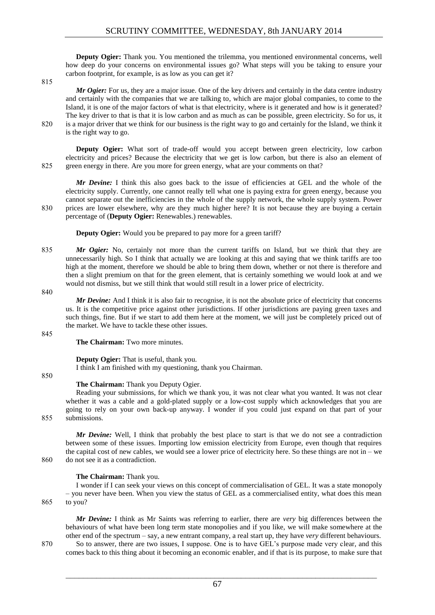**Deputy Ogier:** Thank you. You mentioned the trilemma, you mentioned environmental concerns, well how deep do your concerns on environmental issues go? What steps will you be taking to ensure your carbon footprint, for example, is as low as you can get it?

815

*Mr Ogier:* For us, they are a major issue. One of the key drivers and certainly in the data centre industry and certainly with the companies that we are talking to, which are major global companies, to come to the Island, it is one of the major factors of what is that electricity, where is it generated and how is it generated? The key driver to that is that it is low carbon and as much as can be possible, green electricity. So for us, it 820 is a major driver that we think for our business is the right way to go and certainly for the Island, we think it is the right way to go.

**Deputy Ogier:** What sort of trade-off would you accept between green electricity, low carbon electricity and prices? Because the electricity that we get is low carbon, but there is also an element of 825 green energy in there. Are you more for green energy, what are your comments on that?

*Mr Devine:* I think this also goes back to the issue of efficiencies at GEL and the whole of the electricity supply. Currently, one cannot really tell what one is paying extra for green energy, because you cannot separate out the inefficiencies in the whole of the supply network, the whole supply system. Power 830 prices are lower elsewhere, why are they much higher here? It is not because they are buying a certain percentage of (**Deputy Ogier:** Renewables.) renewables.

**Deputy Ogier:** Would you be prepared to pay more for a green tariff?

835 *Mr Ogier:* No, certainly not more than the current tariffs on Island, but we think that they are unnecessarily high. So I think that actually we are looking at this and saying that we think tariffs are too high at the moment, therefore we should be able to bring them down, whether or not there is therefore and then a slight premium on that for the green element, that is certainly something we would look at and we would not dismiss, but we still think that would still result in a lower price of electricity.

840

*Mr Devine:* And I think it is also fair to recognise, it is not the absolute price of electricity that concerns us. It is the competitive price against other jurisdictions. If other jurisdictions are paying green taxes and such things, fine. But if we start to add them here at the moment, we will just be completely priced out of the market. We have to tackle these other issues.

845

**The Chairman:** Two more minutes.

**Deputy Ogier:** That is useful, thank you. I think I am finished with my questioning, thank you Chairman.

850

# **The Chairman:** Thank you Deputy Ogier.

Reading your submissions, for which we thank you, it was not clear what you wanted. It was not clear whether it was a cable and a gold-plated supply or a low-cost supply which acknowledges that you are going to rely on your own back-up anyway. I wonder if you could just expand on that part of your 855 submissions.

*Mr Devine:* Well, I think that probably the best place to start is that we do not see a contradiction between some of these issues. Importing low emission electricity from Europe, even though that requires the capital cost of new cables, we would see a lower price of electricity here. So these things are not in – we 860 do not see it as a contradiction.

#### **The Chairman:** Thank you.

I wonder if I can seek your views on this concept of commercialisation of GEL. It was a state monopoly – you never have been. When you view the status of GEL as a commercialised entity, what does this mean 865 to you?

*Mr Devine:* I think as Mr Saints was referring to earlier, there are *very* big differences between the behaviours of what have been long term state monopolies and if you like, we will make somewhere at the other end of the spectrum – say, a new entrant company, a real start up, they have *very* different behaviours.

870 So to answer, there are two issues, I suppose. One is to have GEL's purpose made very clear, and this comes back to this thing about it becoming an economic enabler, and if that is its purpose, to make sure that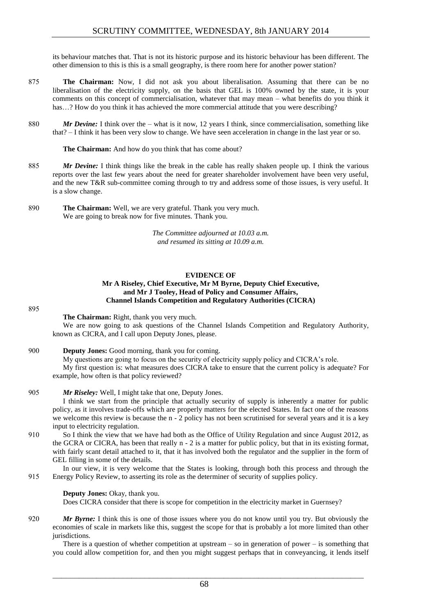its behaviour matches that. That is not its historic purpose and its historic behaviour has been different. The other dimension to this is this is a small geography, is there room here for another power station?

- 875 **The Chairman:** Now, I did not ask you about liberalisation. Assuming that there can be no liberalisation of the electricity supply, on the basis that GEL is 100% owned by the state, it is your comments on this concept of commercialisation, whatever that may mean – what benefits do you think it has...? How do you think it has achieved the more commercial attitude that you were describing?
- 880 *Mr Devine:* I think over the what is it now, 12 years I think, since commercialisation, something like that? – I think it has been very slow to change. We have seen acceleration in change in the last year or so.

**The Chairman:** And how do you think that has come about?

- 885 *Mr Devine:* I think things like the break in the cable has really shaken people up. I think the various reports over the last few years about the need for greater shareholder involvement have been very useful, and the new T&R sub-committee coming through to try and address some of those issues, is very useful. It is a slow change.
- 890 **The Chairman:** Well, we are very grateful. Thank you very much. We are going to break now for five minutes. Thank you.

*The Committee adjourned at 10.03 a.m. and resumed its sitting at 10.09 a.m.*

#### **EVIDENCE OF Mr A Riseley, Chief Executive, Mr M Byrne, Deputy Chief Executive, and Mr J Tooley, Head of Policy and Consumer Affairs, Channel Islands Competition and Regulatory Authorities (CICRA)**

#### 895

**The Chairman:** Right, thank you very much.

We are now going to ask questions of the Channel Islands Competition and Regulatory Authority, known as CICRA, and I call upon Deputy Jones, please.

900 **Deputy Jones:** Good morning, thank you for coming.

My questions are going to focus on the security of electricity supply policy and CICRA's role.

My first question is: what measures does CICRA take to ensure that the current policy is adequate? For example, how often is that policy reviewed?

905 *Mr Riseley:* Well, I might take that one, Deputy Jones.

I think we start from the principle that actually security of supply is inherently a matter for public policy, as it involves trade-offs which are properly matters for the elected States. In fact one of the reasons we welcome this review is because the n - 2 policy has not been scrutinised for several years and it is a key input to electricity regulation.

910 So I think the view that we have had both as the Office of Utility Regulation and since August 2012, as the GCRA or CICRA, has been that really n - 2 is a matter for public policy, but that in its existing format, with fairly scant detail attached to it, that it has involved both the regulator and the supplier in the form of GEL filling in some of the details.

In our view, it is very welcome that the States is looking, through both this process and through the 915 Energy Policy Review, to asserting its role as the determiner of security of supplies policy.

#### **Deputy Jones:** Okay, thank you.

Does CICRA consider that there is scope for competition in the electricity market in Guernsey?

920 *Mr Byrne:* I think this is one of those issues where you do not know until you try. But obviously the economies of scale in markets like this, suggest the scope for that is probably a lot more limited than other jurisdictions.

There is a question of whether competition at upstream – so in generation of power – is something that you could allow competition for, and then you might suggest perhaps that in conveyancing, it lends itself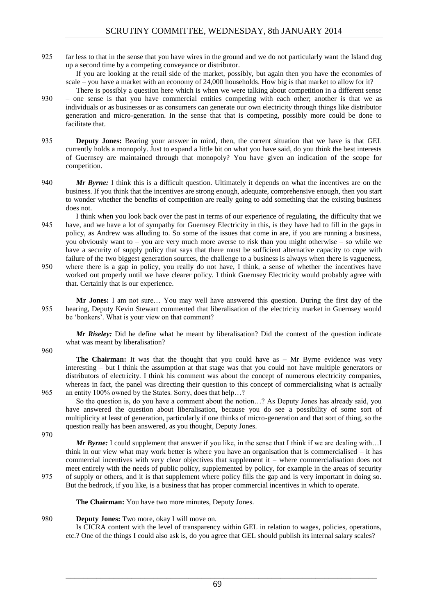925 far less to that in the sense that you have wires in the ground and we do not particularly want the Island dug up a second time by a competing conveyance or distributor.

If you are looking at the retail side of the market, possibly, but again then you have the economies of scale – you have a market with an economy of 24,000 households. How big is that market to allow for it?

- There is possibly a question here which is when we were talking about competition in a different sense 930 – one sense is that you have commercial entities competing with each other; another is that we as individuals or as businesses or as consumers can generate our own electricity through things like distributor generation and micro-generation. In the sense that that is competing, possibly more could be done to facilitate that.
- 935 **Deputy Jones:** Bearing your answer in mind, then, the current situation that we have is that GEL currently holds a monopoly. Just to expand a little bit on what you have said, do you think the best interests of Guernsey are maintained through that monopoly? You have given an indication of the scope for competition.
- 940 *Mr Byrne:* I think this is a difficult question. Ultimately it depends on what the incentives are on the business. If you think that the incentives are strong enough, adequate, comprehensive enough, then you start to wonder whether the benefits of competition are really going to add something that the existing business does not.
- I think when you look back over the past in terms of our experience of regulating, the difficulty that we 945 have, and we have a lot of sympathy for Guernsey Electricity in this, is they have had to fill in the gaps in policy, as Andrew was alluding to. So some of the issues that come in are, if you are running a business, you obviously want to – you are very much more averse to risk than you might otherwise – so while we have a security of supply policy that says that there must be sufficient alternative capacity to cope with failure of the two biggest generation sources, the challenge to a business is always when there is vagueness,
- 950 where there is a gap in policy, you really do not have, I think, a sense of whether the incentives have worked out properly until we have clearer policy. I think Guernsey Electricity would probably agree with that. Certainly that is our experience.
- **Mr Jones:** I am not sure… You may well have answered this question. During the first day of the 955 hearing, Deputy Kevin Stewart commented that liberalisation of the electricity market in Guernsey would be 'bonkers'. What is your view on that comment?

*Mr Riseley:* Did he define what he meant by liberalisation? Did the context of the question indicate what was meant by liberalisation?

960

**The Chairman:** It was that the thought that you could have as – Mr Byrne evidence was very interesting – but I think the assumption at that stage was that you could not have multiple generators or distributors of electricity. I think his comment was about the concept of numerous electricity companies, whereas in fact, the panel was directing their question to this concept of commercialising what is actually 965 an entity 100% owned by the States. Sorry, does that help…?

So the question is, do you have a comment about the notion…? As Deputy Jones has already said, you have answered the question about liberalisation, because you do see a possibility of some sort of multiplicity at least of generation, particularly if one thinks of micro-generation and that sort of thing, so the question really has been answered, as you thought, Deputy Jones.

970

*Mr Byrne:* I could supplement that answer if you like, in the sense that I think if we are dealing with...I think in our view what may work better is where you have an organisation that is commercialised – it has commercial incentives with very clear objectives that supplement it – where commercialisation does not meet entirely with the needs of public policy, supplemented by policy, for example in the areas of security 975 of supply or others, and it is that supplement where policy fills the gap and is very important in doing so. But the bedrock, if you like, is a business that has proper commercial incentives in which to operate.

**The Chairman:** You have two more minutes, Deputy Jones.

# 980 **Deputy Jones:** Two more, okay I will move on.

Is CICRA content with the level of transparency within GEL in relation to wages, policies, operations, etc.? One of the things I could also ask is, do you agree that GEL should publish its internal salary scales?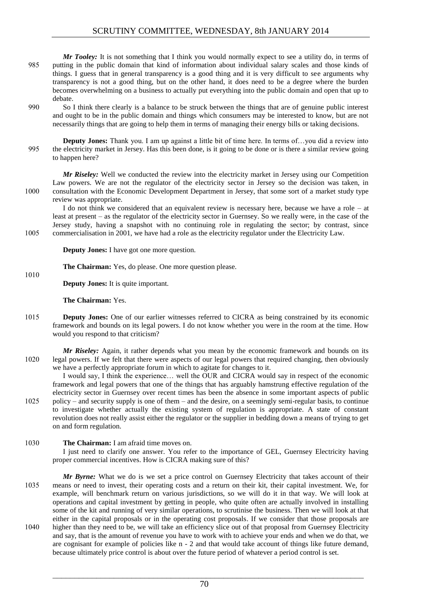- *Mr Tooley:* It is not something that I think you would normally expect to see a utility do, in terms of 985 putting in the public domain that kind of information about individual salary scales and those kinds of things. I guess that in general transparency is a good thing and it is very difficult to see arguments why transparency is not a good thing, but on the other hand, it does need to be a degree where the burden becomes overwhelming on a business to actually put everything into the public domain and open that up to debate.
- 990 So I think there clearly is a balance to be struck between the things that are of genuine public interest and ought to be in the public domain and things which consumers may be interested to know, but are not necessarily things that are going to help them in terms of managing their energy bills or taking decisions.
- **Deputy Jones:** Thank you. I am up against a little bit of time here. In terms of ... you did a review into 995 the electricity market in Jersey. Has this been done, is it going to be done or is there a similar review going to happen here?

*Mr Riseley:* Well we conducted the review into the electricity market in Jersey using our Competition Law powers. We are not the regulator of the electricity sector in Jersey so the decision was taken, in 1000 consultation with the Economic Development Department in Jersey, that some sort of a market study type review was appropriate.

I do not think we considered that an equivalent review is necessary here, because we have a role – at least at present – as the regulator of the electricity sector in Guernsey. So we really were, in the case of the Jersey study, having a snapshot with no continuing role in regulating the sector; by contrast, since 1005 commercialisation in 2001, we have had a role as the electricity regulator under the Electricity Law.

**Deputy Jones:** I have got one more question.

**The Chairman:** Yes, do please. One more question please.

**Deputy Jones:** It is quite important.

**The Chairman:** Yes.

1010

- 1015 **Deputy Jones:** One of our earlier witnesses referred to CICRA as being constrained by its economic framework and bounds on its legal powers. I do not know whether you were in the room at the time. How would you respond to that criticism?
- *Mr Riseley:* Again, it rather depends what you mean by the economic framework and bounds on its 1020 legal powers. If we felt that there were aspects of our legal powers that required changing, then obviously we have a perfectly appropriate forum in which to agitate for changes to it.

I would say, I think the experience… well the OUR and CICRA would say in respect of the economic framework and legal powers that one of the things that has arguably hamstrung effective regulation of the electricity sector in Guernsey over recent times has been the absence in some important aspects of public 1025 policy – and security supply is one of them – and the desire, on a seemingly semi-regular basis, to continue

- to investigate whether actually the existing system of regulation is appropriate. A state of constant revolution does not really assist either the regulator or the supplier in bedding down a means of trying to get on and form regulation.
- 1030 **The Chairman:** I am afraid time moves on.

I just need to clarify one answer. You refer to the importance of GEL, Guernsey Electricity having proper commercial incentives. How is CICRA making sure of this?

*Mr Byrne:* What we do is we set a price control on Guernsey Electricity that takes account of their 1035 means or need to invest, their operating costs and a return on their kit, their capital investment. We, for example, will benchmark return on various jurisdictions, so we will do it in that way. We will look at operations and capital investment by getting in people, who quite often are actually involved in installing some of the kit and running of very similar operations, to scrutinise the business. Then we will look at that either in the capital proposals or in the operating cost proposals. If we consider that those proposals are 1040 higher than they need to be, we will take an efficiency slice out of that proposal from Guernsey Electricity and say, that is the amount of revenue you have to work with to achieve your ends and when we do that, we are cognisant for example of policies like n - 2 and that would take account of things like future demand, because ultimately price control is about over the future period of whatever a period control is set.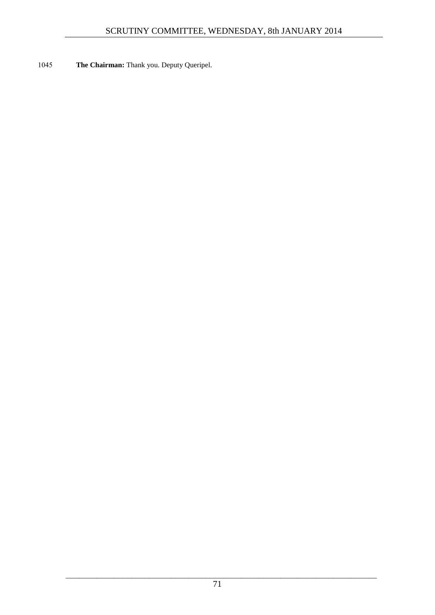1045 **The Chairman:** Thank you. Deputy Queripel.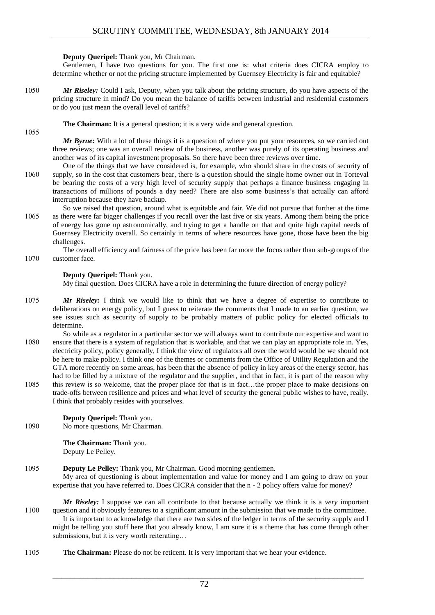#### **Deputy Queripel:** Thank you, Mr Chairman.

Gentlemen, I have two questions for you. The first one is: what criteria does CICRA employ to determine whether or not the pricing structure implemented by Guernsey Electricity is fair and equitable?

1050 *Mr Riseley:* Could I ask, Deputy, when you talk about the pricing structure, do you have aspects of the pricing structure in mind? Do you mean the balance of tariffs between industrial and residential customers or do you just mean the overall level of tariffs?

#### **The Chairman:** It is a general question; it is a very wide and general question.

1055

*Mr Byrne:* With a lot of these things it is a question of where you put your resources, so we carried out three reviews; one was an overall review of the business, another was purely of its operating business and another was of its capital investment proposals. So there have been three reviews over time.

- One of the things that we have considered is, for example, who should share in the costs of security of 1060 supply, so in the cost that customers bear, there is a question should the single home owner out in Torteval be bearing the costs of a very high level of security supply that perhaps a finance business engaging in transactions of millions of pounds a day need? There are also some business's that actually can afford interruption because they have backup.
- So we raised that question, around what is equitable and fair. We did not pursue that further at the time 1065 as there were far bigger challenges if you recall over the last five or six years. Among them being the price of energy has gone up astronomically, and trying to get a handle on that and quite high capital needs of Guernsey Electricity overall. So certainly in terms of where resources have gone, those have been the big challenges.

The overall efficiency and fairness of the price has been far more the focus rather than sub-groups of the 1070 customer face.

# **Deputy Queripel:** Thank you.

My final question. Does CICRA have a role in determining the future direction of energy policy?

- 1075 *Mr Riseley:* I think we would like to think that we have a degree of expertise to contribute to deliberations on energy policy, but I guess to reiterate the comments that I made to an earlier question, we see issues such as security of supply to be probably matters of public policy for elected officials to determine.
- So while as a regulator in a particular sector we will always want to contribute our expertise and want to 1080 ensure that there is a system of regulation that is workable, and that we can play an appropriate role in. Yes, electricity policy, policy generally, I think the view of regulators all over the world would be we should not be here to make policy. I think one of the themes or comments from the Office of Utility Regulation and the GTA more recently on some areas, has been that the absence of policy in key areas of the energy sector, has had to be filled by a mixture of the regulator and the supplier, and that in fact, it is part of the reason why
- 1085 this review is so welcome, that the proper place for that is in fact…the proper place to make decisions on trade-offs between resilience and prices and what level of security the general public wishes to have, really. I think that probably resides with yourselves.

# **Deputy Queripel:** Thank you.

1090 No more questions, Mr Chairman.

**The Chairman:** Thank you. Deputy Le Pelley.

# 1095 **Deputy Le Pelley:** Thank you, Mr Chairman. Good morning gentlemen.

My area of questioning is about implementation and value for money and I am going to draw on your expertise that you have referred to. Does CICRA consider that the n - 2 policy offers value for money?

- *Mr Riseley:* I suppose we can all contribute to that because actually we think it is a *very* important 1100 question and it obviously features to a significant amount in the submission that we made to the committee. It is important to acknowledge that there are two sides of the ledger in terms of the security supply and I might be telling you stuff here that you already know, I am sure it is a theme that has come through other submissions, but it is very worth reiterating…
- 1105 **The Chairman:** Please do not be reticent. It is very important that we hear your evidence.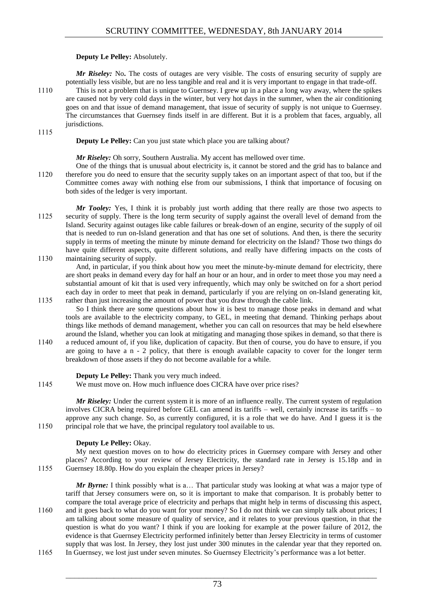# **Deputy Le Pelley:** Absolutely.

*Mr Riseley:* No. The costs of outages are very visible. The costs of ensuring security of supply are potentially less visible, but are no less tangible and real and it is very important to engage in that trade-off.

1110 This is not a problem that is unique to Guernsey. I grew up in a place a long way away, where the spikes are caused not by very cold days in the winter, but very hot days in the summer, when the air conditioning goes on and that issue of demand management, that issue of security of supply is not unique to Guernsey. The circumstances that Guernsey finds itself in are different. But it is a problem that faces, arguably, all jurisdictions.

1115

**Deputy Le Pelley:** Can you just state which place you are talking about?

*Mr Riseley:* Oh sorry, Southern Australia. My accent has mellowed over time.

- One of the things that is unusual about electricity is, it cannot be stored and the grid has to balance and 1120 therefore you do need to ensure that the security supply takes on an important aspect of that too, but if the Committee comes away with nothing else from our submissions, I think that importance of focusing on both sides of the ledger is very important.
- *Mr Tooley:* Yes, I think it is probably just worth adding that there really are those two aspects to 1125 security of supply. There is the long term security of supply against the overall level of demand from the Island. Security against outages like cable failures or break-down of an engine, security of the supply of oil that is needed to run on-Island generation and that has one set of solutions. And then, is there the security supply in terms of meeting the minute by minute demand for electricity on the Island? Those two things do have quite different aspects, quite different solutions, and really have differing impacts on the costs of 1130 maintaining security of supply.

And, in particular, if you think about how you meet the minute-by-minute demand for electricity, there are short peaks in demand every day for half an hour or an hour, and in order to meet those you may need a substantial amount of kit that is used very infrequently, which may only be switched on for a short period each day in order to meet that peak in demand, particularly if you are relying on on-Island generating kit, 1135 rather than just increasing the amount of power that you draw through the cable link.

- So I think there are some questions about how it is best to manage those peaks in demand and what tools are available to the electricity company, to GEL, in meeting that demand. Thinking perhaps about things like methods of demand management, whether you can call on resources that may be held elsewhere around the Island, whether you can look at mitigating and managing those spikes in demand, so that there is
- 1140 a reduced amount of, if you like, duplication of capacity. But then of course, you do have to ensure, if you are going to have a n - 2 policy, that there is enough available capacity to cover for the longer term breakdown of those assets if they do not become available for a while.

#### **Deputy Le Pelley:** Thank you very much indeed.

1145 We must move on. How much influence does CICRA have over price rises?

*Mr Riseley:* Under the current system it is more of an influence really. The current system of regulation involves CICRA being required before GEL can amend its tariffs – well, certainly increase its tariffs – to approve any such change. So, as currently configured, it is a role that we do have. And I guess it is the 1150 principal role that we have, the principal regulatory tool available to us.

#### **Deputy Le Pelley:** Okay.

My next question moves on to how do electricity prices in Guernsey compare with Jersey and other places? According to your review of Jersey Electricity, the standard rate in Jersey is 15.18p and in 1155 Guernsey 18.80p. How do you explain the cheaper prices in Jersey?

*Mr Byrne:* I think possibly what is a… That particular study was looking at what was a major type of tariff that Jersey consumers were on, so it is important to make that comparison. It is probably better to compare the total average price of electricity and perhaps that might help in terms of discussing this aspect, 1160 and it goes back to what do you want for your money? So I do not think we can simply talk about prices; I am talking about some measure of quality of service, and it relates to your previous question, in that the question is what do you want? I think if you are looking for example at the power failure of 2012, the evidence is that Guernsey Electricity performed infinitely better than Jersey Electricity in terms of customer supply that was lost. In Jersey, they lost just under 300 minutes in the calendar year that they reported on.

1165 In Guernsey, we lost just under seven minutes. So Guernsey Electricity's performance was a lot better.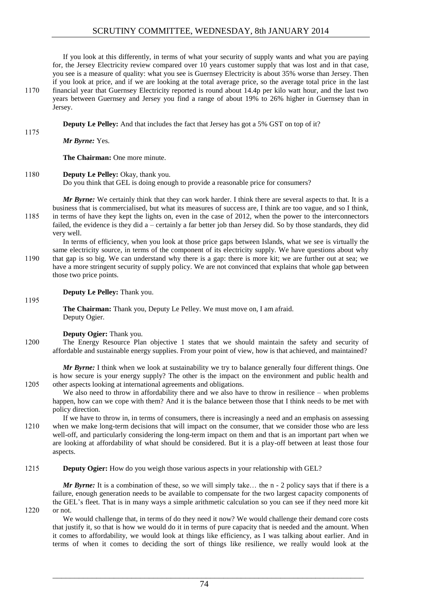If you look at this differently, in terms of what your security of supply wants and what you are paying for, the Jersey Electricity review compared over 10 years customer supply that was lost and in that case, you see is a measure of quality: what you see is Guernsey Electricity is about 35% worse than Jersey. Then if you look at price, and if we are looking at the total average price, so the average total price in the last 1170 financial year that Guernsey Electricity reported is round about 14.4p per kilo watt hour, and the last two years between Guernsey and Jersey you find a range of about 19% to 26% higher in Guernsey than in Jersey.

**Deputy Le Pelley:** And that includes the fact that Jersey has got a 5% GST on top of it?

*Mr Byrne:* Yes.

**The Chairman:** One more minute.

# 1180 **Deputy Le Pelley:** Okay, thank you.

Do you think that GEL is doing enough to provide a reasonable price for consumers?

*Mr Byrne:* We certainly think that they can work harder. I think there are several aspects to that. It is a business that is commercialised, but what its measures of success are, I think are too vague, and so I think, 1185 in terms of have they kept the lights on, even in the case of 2012, when the power to the interconnectors failed, the evidence is they did a – certainly a far better job than Jersey did. So by those standards, they did very well.

In terms of efficiency, when you look at those price gaps between Islands, what we see is virtually the same electricity source, in terms of the component of its electricity supply. We have questions about why 1190 that gap is so big. We can understand why there is a gap: there is more kit; we are further out at sea; we have a more stringent security of supply policy. We are not convinced that explains that whole gap between those two price points.

# **Deputy Le Pelley:** Thank you.

1195

1175

**The Chairman:** Thank you, Deputy Le Pelley. We must move on, I am afraid. Deputy Ogier.

**Deputy Ogier:** Thank you.

1200 The Energy Resource Plan objective 1 states that we should maintain the safety and security of affordable and sustainable energy supplies. From your point of view, how is that achieved, and maintained?

*Mr Byrne:* I think when we look at sustainability we try to balance generally four different things. One is how secure is your energy supply? The other is the impact on the environment and public health and 1205 other aspects looking at international agreements and obligations.

We also need to throw in affordability there and we also have to throw in resilience – when problems happen, how can we cope with them? And it is the balance between those that I think needs to be met with policy direction.

If we have to throw in, in terms of consumers, there is increasingly a need and an emphasis on assessing 1210 when we make long-term decisions that will impact on the consumer, that we consider those who are less well-off, and particularly considering the long-term impact on them and that is an important part when we are looking at affordability of what should be considered. But it is a play-off between at least those four aspects.

1215 **Deputy Ogier:** How do you weigh those various aspects in your relationship with GEL?

*Mr Byrne:* It is a combination of these, so we will simply take... the n - 2 policy says that if there is a failure, enough generation needs to be available to compensate for the two largest capacity components of the GEL's fleet. That is in many ways a simple arithmetic calculation so you can see if they need more kit 1220 or not.

We would challenge that, in terms of do they need it now? We would challenge their demand core costs

that justify it, so that is how we would do it in terms of pure capacity that is needed and the amount. When it comes to affordability, we would look at things like efficiency, as I was talking about earlier. And in terms of when it comes to deciding the sort of things like resilience, we really would look at the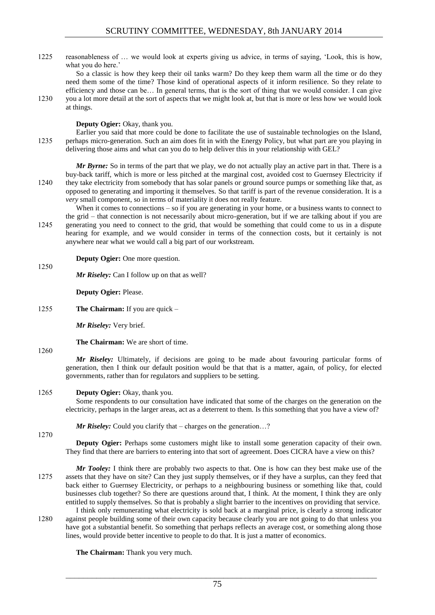1225 reasonableness of … we would look at experts giving us advice, in terms of saying, 'Look, this is how, what you do here.'

So a classic is how they keep their oil tanks warm? Do they keep them warm all the time or do they need them some of the time? Those kind of operational aspects of it inform resilience. So they relate to efficiency and those can be… In general terms, that is the sort of thing that we would consider. I can give 1230 you a lot more detail at the sort of aspects that we might look at, but that is more or less how we would look at things.

#### **Deputy Ogier:** Okay, thank you.

Earlier you said that more could be done to facilitate the use of sustainable technologies on the Island, 1235 perhaps micro-generation. Such an aim does fit in with the Energy Policy, but what part are you playing in delivering those aims and what can you do to help deliver this in your relationship with GEL?

*Mr Byrne:* So in terms of the part that we play, we do not actually play an active part in that. There is a buy-back tariff, which is more or less pitched at the marginal cost, avoided cost to Guernsey Electricity if 1240 they take electricity from somebody that has solar panels or ground source pumps or something like that, as opposed to generating and importing it themselves. So that tariff is part of the revenue consideration. It is a *very* small component, so in terms of materiality it does not really feature.

When it comes to connections – so if you are generating in your home, or a business wants to connect to the grid – that connection is not necessarily about micro-generation, but if we are talking about if you are 1245 generating you need to connect to the grid, that would be something that could come to us in a dispute hearing for example, and we would consider in terms of the connection costs, but it certainly is not anywhere near what we would call a big part of our workstream.

**Deputy Ogier:** One more question.

*Mr Riseley:* Can I follow up on that as well?

**Deputy Ogier:** Please.

1255 **The Chairman:** If you are quick –

*Mr Riseley:* Very brief.

**The Chairman:** We are short of time.

# 1260

1250

*Mr Riseley:* Ultimately, if decisions are going to be made about favouring particular forms of generation, then I think our default position would be that that is a matter, again, of policy, for elected governments, rather than for regulators and suppliers to be setting.

# 1265 **Deputy Ogier:** Okay, thank you.

Some respondents to our consultation have indicated that some of the charges on the generation on the electricity, perhaps in the larger areas, act as a deterrent to them. Is this something that you have a view of?

*Mr Riseley:* Could you clarify that – charges on the generation...?

1270

**Deputy Ogier:** Perhaps some customers might like to install some generation capacity of their own. They find that there are barriers to entering into that sort of agreement. Does CICRA have a view on this?

*Mr Tooley:* I think there are probably two aspects to that. One is how can they best make use of the 1275 assets that they have on site? Can they just supply themselves, or if they have a surplus, can they feed that back either to Guernsey Electricity, or perhaps to a neighbouring business or something like that, could businesses club together? So there are questions around that, I think. At the moment, I think they are only entitled to supply themselves. So that is probably a slight barrier to the incentives on providing that service.

I think only remunerating what electricity is sold back at a marginal price, is clearly a strong indicator 1280 against people building some of their own capacity because clearly you are not going to do that unless you have got a substantial benefit. So something that perhaps reflects an average cost, or something along those lines, would provide better incentive to people to do that. It is just a matter of economics.

**The Chairman:** Thank you very much.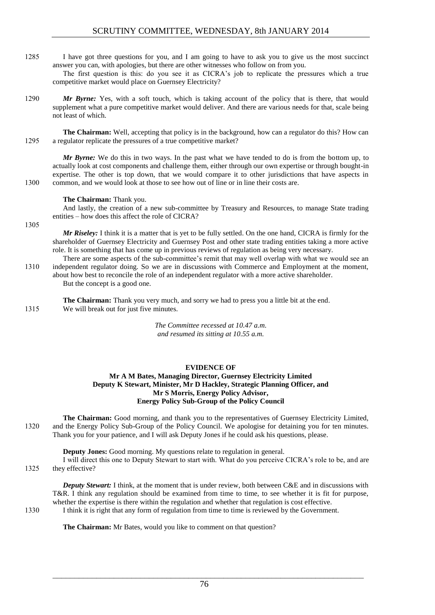1285 I have got three questions for you, and I am going to have to ask you to give us the most succinct answer you can, with apologies, but there are other witnesses who follow on from you.

The first question is this: do you see it as CICRA's job to replicate the pressures which a true competitive market would place on Guernsey Electricity?

1290 *Mr Byrne:* Yes, with a soft touch, which is taking account of the policy that is there, that would supplement what a pure competitive market would deliver. And there are various needs for that, scale being not least of which.

**The Chairman:** Well, accepting that policy is in the background, how can a regulator do this? How can 1295 a regulator replicate the pressures of a true competitive market?

*Mr Byrne:* We do this in two ways. In the past what we have tended to do is from the bottom up, to actually look at cost components and challenge them, either through our own expertise or through bought-in expertise. The other is top down, that we would compare it to other jurisdictions that have aspects in 1300 common, and we would look at those to see how out of line or in line their costs are.

**The Chairman:** Thank you.

And lastly, the creation of a new sub-committee by Treasury and Resources, to manage State trading entities – how does this affect the role of CICRA?

1305

*Mr Riseley:* I think it is a matter that is yet to be fully settled. On the one hand, CICRA is firmly for the shareholder of Guernsey Electricity and Guernsey Post and other state trading entities taking a more active role. It is something that has come up in previous reviews of regulation as being very necessary.

There are some aspects of the sub-committee's remit that may well overlap with what we would see an 1310 independent regulator doing. So we are in discussions with Commerce and Employment at the moment, about how best to reconcile the role of an independent regulator with a more active shareholder. But the concept is a good one.

**The Chairman:** Thank you very much, and sorry we had to press you a little bit at the end. 1315 We will break out for just five minutes.

> *The Committee recessed at 10.47 a.m. and resumed its sitting at 10.55 a.m.*

# **EVIDENCE OF**

# **Mr A M Bates, Managing Director, Guernsey Electricity Limited Deputy K Stewart, Minister, Mr D Hackley, Strategic Planning Officer, and Mr S Morris, Energy Policy Advisor, Energy Policy Sub-Group of the Policy Council**

**The Chairman:** Good morning, and thank you to the representatives of Guernsey Electricity Limited, 1320 and the Energy Policy Sub-Group of the Policy Council. We apologise for detaining you for ten minutes. Thank you for your patience, and I will ask Deputy Jones if he could ask his questions, please.

**Deputy Jones:** Good morning. My questions relate to regulation in general. I will direct this one to Deputy Stewart to start with. What do you perceive CICRA's role to be, and are

1325 they effective?

*Deputy Stewart:* I think, at the moment that is under review, both between C&E and in discussions with T&R. I think any regulation should be examined from time to time, to see whether it is fit for purpose, whether the expertise is there within the regulation and whether that regulation is cost effective.

1330 I think it is right that any form of regulation from time to time is reviewed by the Government.

**The Chairman:** Mr Bates, would you like to comment on that question?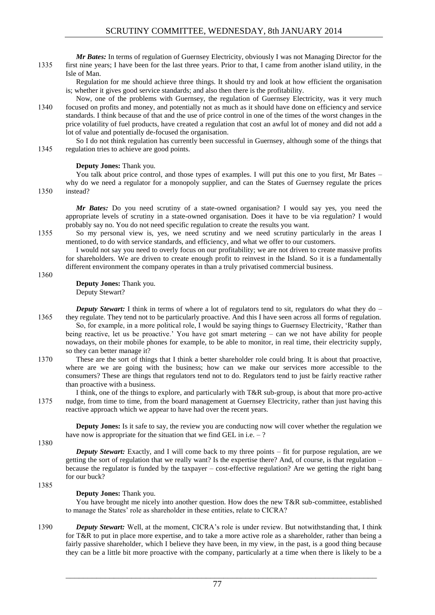*Mr Bates:* In terms of regulation of Guernsey Electricity, obviously I was not Managing Director for the 1335 first nine years; I have been for the last three years. Prior to that, I came from another island utility, in the Isle of Man.

Regulation for me should achieve three things. It should try and look at how efficient the organisation is; whether it gives good service standards; and also then there is the profitability.

Now, one of the problems with Guernsey, the regulation of Guernsey Electricity, was it very much 1340 focused on profits and money, and potentially not as much as it should have done on efficiency and service standards. I think because of that and the use of price control in one of the times of the worst changes in the price volatility of fuel products, have created a regulation that cost an awful lot of money and did not add a lot of value and potentially de-focused the organisation.

So I do not think regulation has currently been successful in Guernsey, although some of the things that 1345 regulation tries to achieve are good points.

# **Deputy Jones:** Thank you.

You talk about price control, and those types of examples. I will put this one to you first, Mr Bates – why do we need a regulator for a monopoly supplier, and can the States of Guernsey regulate the prices 1350 instead?

*Mr Bates:* Do you need scrutiny of a state-owned organisation? I would say yes, you need the appropriate levels of scrutiny in a state-owned organisation. Does it have to be via regulation? I would probably say no. You do not need specific regulation to create the results you want.

1355 So my personal view is, yes, we need scrutiny and we need scrutiny particularly in the areas I mentioned, to do with service standards, and efficiency, and what we offer to our customers.

I would not say you need to overly focus on our profitability; we are not driven to create massive profits for shareholders. We are driven to create enough profit to reinvest in the Island. So it is a fundamentally different environment the company operates in than a truly privatised commercial business.

1360

**Deputy Jones:** Thank you. Deputy Stewart?

*Deputy Stewart:* I think in terms of where a lot of regulators tend to sit, regulators do what they do – 1365 they regulate. They tend not to be particularly proactive. And this I have seen across all forms of regulation. So, for example, in a more political role, I would be saying things to Guernsey Electricity, 'Rather than being reactive, let us be proactive.' You have got smart metering – can we not have ability for people nowadays, on their mobile phones for example, to be able to monitor, in real time, their electricity supply, so they can better manage it?

1370 These are the sort of things that I think a better shareholder role could bring. It is about that proactive, where are we are going with the business; how can we make our services more accessible to the consumers? These are things that regulators tend not to do. Regulators tend to just be fairly reactive rather than proactive with a business.

I think, one of the things to explore, and particularly with T&R sub-group, is about that more pro-active 1375 nudge, from time to time, from the board management at Guernsey Electricity, rather than just having this reactive approach which we appear to have had over the recent years.

**Deputy Jones:** Is it safe to say, the review you are conducting now will cover whether the regulation we have now is appropriate for the situation that we find GEL in i.e. – ?

1380

1385

*Deputy Stewart:* Exactly, and I will come back to my three points – fit for purpose regulation, are we getting the sort of regulation that we really want? Is the expertise there? And, of course, is that regulation – because the regulator is funded by the taxpayer – cost-effective regulation? Are we getting the right bang for our buck?

# **Deputy Jones:** Thank you.

You have brought me nicely into another question. How does the new T&R sub-committee, established to manage the States' role as shareholder in these entities, relate to CICRA?

1390 *Deputy Stewart:* Well, at the moment, CICRA's role is under review. But notwithstanding that, I think for T&R to put in place more expertise, and to take a more active role as a shareholder, rather than being a fairly passive shareholder, which I believe they have been, in my view, in the past, is a good thing because they can be a little bit more proactive with the company, particularly at a time when there is likely to be a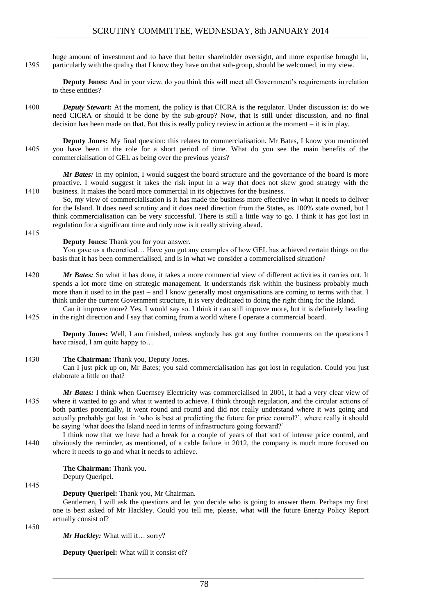huge amount of investment and to have that better shareholder oversight, and more expertise brought in, 1395 particularly with the quality that I know they have on that sub-group, should be welcomed, in my view.

**Deputy Jones:** And in your view, do you think this will meet all Government's requirements in relation to these entities?

- 1400 *Deputy Stewart:* At the moment, the policy is that CICRA is the regulator. Under discussion is: do we need CICRA or should it be done by the sub-group? Now, that is still under discussion, and no final decision has been made on that. But this is really policy review in action at the moment – it is in play.
- **Deputy Jones:** My final question: this relates to commercialisation. Mr Bates, I know you mentioned 1405 you have been in the role for a short period of time. What do you see the main benefits of the commercialisation of GEL as being over the previous years?

*Mr Bates:* In my opinion, I would suggest the board structure and the governance of the board is more proactive. I would suggest it takes the risk input in a way that does not skew good strategy with the 1410 business. It makes the board more commercial in its objectives for the business.

So, my view of commercialisation is it has made the business more effective in what it needs to deliver for the Island. It does need scrutiny and it does need direction from the States, as 100% state owned, but I think commercialisation can be very successful. There is still a little way to go. I think it has got lost in regulation for a significant time and only now is it really striving ahead.

#### **Deputy Jones:** Thank you for your answer.

You gave us a theoretical… Have you got any examples of how GEL has achieved certain things on the basis that it has been commercialised, and is in what we consider a commercialised situation?

- 1420 *Mr Bates:* So what it has done, it takes a more commercial view of different activities it carries out. It spends a lot more time on strategic management. It understands risk within the business probably much more than it used to in the past – and I know generally most organisations are coming to terms with that. I think under the current Government structure, it is very dedicated to doing the right thing for the Island.
- Can it improve more? Yes, I would say so. I think it can still improve more, but it is definitely heading 1425 in the right direction and I say that coming from a world where I operate a commercial board.

**Deputy Jones:** Well, I am finished, unless anybody has got any further comments on the questions I have raised, I am quite happy to...

#### 1430 **The Chairman:** Thank you, Deputy Jones.

Can I just pick up on, Mr Bates; you said commercialisation has got lost in regulation. Could you just elaborate a little on that?

- *Mr Bates:* I think when Guernsey Electricity was commercialised in 2001, it had a very clear view of 1435 where it wanted to go and what it wanted to achieve. I think through regulation, and the circular actions of both parties potentially, it went round and round and did not really understand where it was going and actually probably got lost in 'who is best at predicting the future for price control?', where really it should be saying 'what does the Island need in terms of infrastructure going forward?'
- I think now that we have had a break for a couple of years of that sort of intense price control, and 1440 obviously the reminder, as mentioned, of a cable failure in 2012, the company is much more focused on where it needs to go and what it needs to achieve.

**The Chairman:** Thank you. Deputy Queripel.

1445

1415

# **Deputy Queripel:** Thank you, Mr Chairman.

Gentlemen, I will ask the questions and let you decide who is going to answer them. Perhaps my first one is best asked of Mr Hackley. Could you tell me, please, what will the future Energy Policy Report actually consist of?

1450

*Mr Hackley:* What will it… sorry?

**Deputy Queripel:** What will it consist of?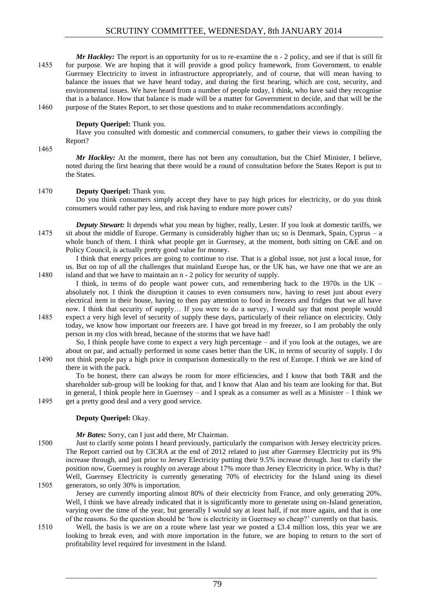*Mr Hackley:* The report is an opportunity for us to re-examine the n - 2 policy, and see if that is still fit 1455 for purpose. We are hoping that it will provide a good policy framework, from Government, to enable Guernsey Electricity to invest in infrastructure appropriately, and of course, that will mean having to balance the issues that we have heard today, and during the first hearing, which are cost, security, and environmental issues. We have heard from a number of people today, I think, who have said they recognise that is a balance. How that balance is made will be a matter for Government to decide, and that will be the 1460 purpose of the States Report, to set those questions and to make recommendations accordingly.

**Deputy Queripel:** Thank you.

Have you consulted with domestic and commercial consumers, to gather their views in compiling the Report?

1465

*Mr Hackley:* At the moment, there has not been any consultation, but the Chief Minister, I believe, noted during the first hearing that there would be a round of consultation before the States Report is put to the States.

#### 1470 **Deputy Queripel:** Thank you.

Do you think consumers simply accept they have to pay high prices for electricity, or do you think consumers would rather pay less, and risk having to endure more power cuts?

*Deputy Stewart:* It depends what you mean by higher, really, Lester. If you look at domestic tariffs, we 1475 sit about the middle of Europe. Germany is considerably higher than us; so is Denmark, Spain, Cyprus – a whole bunch of them. I think what people get in Guernsey, at the moment, both sitting on C&E and on Policy Council, is actually pretty good value for money.

I think that energy prices are going to continue to rise. That is a global issue, not just a local issue, for us. But on top of all the challenges that mainland Europe has, or the UK has, we have one that we are an 1480 island and that we have to maintain an n - 2 policy for security of supply.

I think, in terms of do people want power cuts, and remembering back to the 1970s in the UK – absolutely not. I think the disruption it causes to even consumers now, having to reset just about every electrical item in their house, having to then pay attention to food in freezers and fridges that we all have now. I think that security of supply… If you were to do a survey, I would say that most people would

1485 expect a very high level of security of supply these days, particularly of their reliance on electricity. Only today, we know how important our freezers are. I have got bread in my freezer, so I am probably the only person in my clos with bread, because of the storms that we have had!

So, I think people have come to expect a very high percentage – and if you look at the outages, we are about on par, and actually performed in some cases better than the UK, in terms of security of supply. I do 1490 not think people pay a high price in comparison domestically to the rest of Europe. I think we are kind of there in with the pack.

To be honest, there can always be room for more efficiencies, and I know that both T&R and the shareholder sub-group will be looking for that, and I know that Alan and his team are looking for that. But in general, I think people here in Guernsey – and I speak as a consumer as well as a Minister – I think we 1495 get a pretty good deal and a very good service.

#### **Deputy Queripel:** Okay.

*Mr Bates:* Sorry, can I just add there, Mr Chairman.

1500 Just to clarify some points I heard previously, particularly the comparison with Jersey electricity prices. The Report carried out by CICRA at the end of 2012 related to just after Guernsey Electricity put its 9% increase through, and just prior to Jersey Electricity putting their 9.5% increase through. Just to clarify the position now, Guernsey is roughly on average about 17% more than Jersey Electricity in price. Why is that? Well, Guernsey Electricity is currently generating 70% of electricity for the Island using its diesel 1505 generators, so only 30% is importation.

Jersey are currently importing almost 80% of their electricity from France, and only generating 20%. Well, I think we have already indicated that it is significantly more to generate using on-Island generation, varying over the time of the year, but generally I would say at least half, if not more again, and that is one of the reasons. So the question should be 'how is electricity in Guernsey so cheap?' currently on that basis.

1510 Well, the basis is we are on a route where last year we posted a £3.4 million loss, this year we are looking to break even, and with more importation in the future, we are hoping to return to the sort of profitability level required for investment in the Island.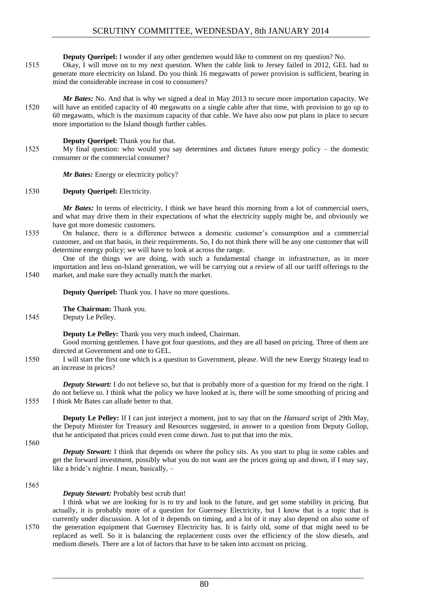**Deputy Queripel:** I wonder if any other gentlemen would like to comment on my question? No.

- 1515 Okay, I will move on to my next question. When the cable link to Jersey failed in 2012, GEL had to generate more electricity on Island. Do you think 16 megawatts of power provision is sufficient, bearing in mind the considerable increase in cost to consumers?
- *Mr Bates:* No. And that is why we signed a deal in May 2013 to secure more importation capacity. We 1520 will have an entitled capacity of 40 megawatts on a single cable after that time, with provision to go up to 60 megawatts, which is the maximum capacity of that cable. We have also now put plans in place to secure more importation to the Island though further cables.

#### **Deputy Queripel:** Thank you for that.

1525 My final question: who would you say determines and dictates future energy policy – the domestic consumer or the commercial consumer?

*Mr Bates:* Energy or electricity policy?

#### 1530 **Deputy Queripel:** Electricity.

*Mr Bates:* In terms of electricity, I think we have heard this morning from a lot of commercial users, and what may drive them in their expectations of what the electricity supply might be, and obviously we have got more domestic customers.

1535 On balance, there is a difference between a domestic customer's consumption and a commercial customer, and on that basis, in their requirements. So, I do not think there will be any one customer that will determine energy policy; we will have to look at across the range.

One of the things we are doing, with such a fundamental change in infrastructure, as in more importation and less on-Island generation, we will be carrying out a review of all our tariff offerings to the 1540 market, and make sure they actually match the market.

**Deputy Queripel:** Thank you. I have no more questions.

**The Chairman:** Thank you.

1545 Deputy Le Pelley.

**Deputy Le Pelley:** Thank you very much indeed, Chairman.

Good morning gentlemen. I have got four questions, and they are all based on pricing. Three of them are directed at Government and one to GEL.

1550 I will start the first one which is a question to Government, please. Will the new Energy Strategy lead to an increase in prices?

*Deputy Stewart:* I do not believe so, but that is probably more of a question for my friend on the right. I do not believe so. I think what the policy we have looked at is, there will be some smoothing of pricing and 1555 I think Mr Bates can allude better to that.

**Deputy Le Pelley:** If I can just interject a moment, just to say that on the *Hansard* script of 29th May, the Deputy Minister for Treasury and Resources suggested, in answer to a question from Deputy Gollop, that he anticipated that prices could even come down. Just to put that into the mix.

1560

*Deputy Stewart:* I think that depends on where the policy sits. As you start to plug in some cables and get the forward investment, possibly what you do not want are the prices going up and down, if I may say, like a bride's nightie. I mean, basically, –

1565

#### *Deputy Stewart:* Probably best scrub that!

I think what we are looking for is to try and look to the future, and get some stability in pricing. But actually, it is probably more of a question for Guernsey Electricity, but I know that is a topic that is currently under discussion. A lot of it depends on timing, and a lot of it may also depend on also some of 1570 the generation equipment that Guernsey Electricity has. It is fairly old, some of that might need to be replaced as well. So it is balancing the replacement costs over the efficiency of the slow diesels, and medium diesels. There are a lot of factors that have to be taken into account on pricing.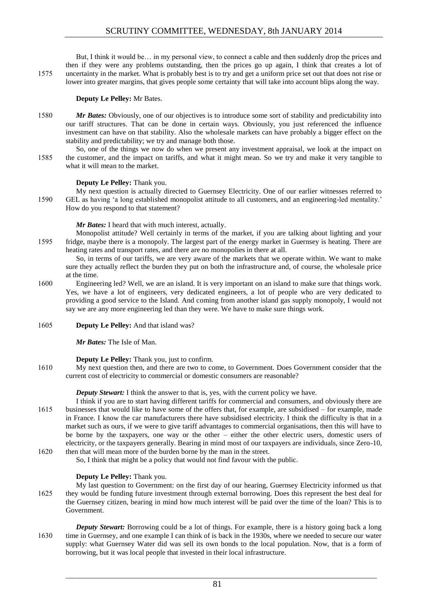But, I think it would be… in my personal view, to connect a cable and then suddenly drop the prices and then if they were any problems outstanding, then the prices go up again, I think that creates a lot of 1575 uncertainty in the market. What is probably best is to try and get a uniform price set out that does not rise or lower into greater margins, that gives people some certainty that will take into account blips along the way.

# **Deputy Le Pelley:** Mr Bates.

- 1580 *Mr Bates:* Obviously, one of our objectives is to introduce some sort of stability and predictability into our tariff structures. That can be done in certain ways. Obviously, you just referenced the influence investment can have on that stability. Also the wholesale markets can have probably a bigger effect on the stability and predictability; we try and manage both those.
- So, one of the things we now do when we present any investment appraisal, we look at the impact on 1585 the customer, and the impact on tariffs, and what it might mean. So we try and make it very tangible to what it will mean to the market.

# **Deputy Le Pelley:** Thank you.

My next question is actually directed to Guernsey Electricity. One of our earlier witnesses referred to 1590 GEL as having 'a long established monopolist attitude to all customers, and an engineering-led mentality.' How do you respond to that statement?

*Mr Bates:* I heard that with much interest, actually.

Monopolist attitude? Well certainly in terms of the market, if you are talking about lighting and your 1595 fridge, maybe there is a monopoly. The largest part of the energy market in Guernsey is heating. There are heating rates and transport rates, and there are no monopolies in there at all.

So, in terms of our tariffs, we are very aware of the markets that we operate within. We want to make sure they actually reflect the burden they put on both the infrastructure and, of course, the wholesale price at the time.

- 1600 Engineering led? Well, we are an island. It is very important on an island to make sure that things work. Yes, we have a lot of engineers, very dedicated engineers, a lot of people who are very dedicated to providing a good service to the Island. And coming from another island gas supply monopoly, I would not say we are any more engineering led than they were. We have to make sure things work.
- 1605 **Deputy Le Pelley:** And that island was?

*Mr Bates:* The Isle of Man.

# **Deputy Le Pelley:** Thank you, just to confirm.

1610 My next question then, and there are two to come, to Government. Does Government consider that the current cost of electricity to commercial or domestic consumers are reasonable?

*Deputy Stewart:* I think the answer to that is, yes, with the current policy we have.

- I think if you are to start having different tariffs for commercial and consumers, and obviously there are 1615 businesses that would like to have some of the offers that, for example, are subsidised – for example, made in France. I know the car manufacturers there have subsidised electricity. I think the difficulty is that in a market such as ours, if we were to give tariff advantages to commercial organisations, then this will have to be borne by the taxpayers, one way or the other – either the other electric users, domestic users of electricity, or the taxpayers generally. Bearing in mind most of our taxpayers are individuals, since Zero-10, 1620 then that will mean more of the burden borne by the man in the street.
	- So, I think that might be a policy that would not find favour with the public.

# **Deputy Le Pelley:** Thank you.

- My last question to Government: on the first day of our hearing, Guernsey Electricity informed us that 1625 they would be funding future investment through external borrowing. Does this represent the best deal for the Guernsey citizen, bearing in mind how much interest will be paid over the time of the loan? This is to Government.
- *Deputy Stewart:* Borrowing could be a lot of things. For example, there is a history going back a long 1630 time in Guernsey, and one example I can think of is back in the 1930s, where we needed to secure our water supply: what Guernsey Water did was sell its own bonds to the local population. Now, that is a form of borrowing, but it was local people that invested in their local infrastructure.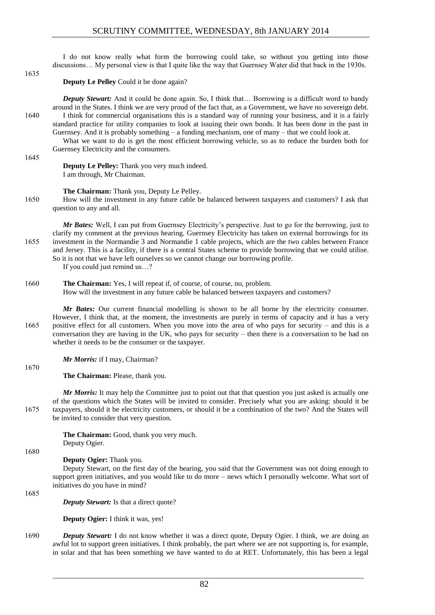I do not know really what form the borrowing could take, so without you getting into those discussions… My personal view is that I quite like the way that Guernsey Water did that back in the 1930s.

1635

**Deputy Le Pelley** Could it be done again?

**Deputy Stewart:** And it could be done again. So, I think that... Borrowing is a difficult word to bandy around in the States. I think we are very proud of the fact that, as a Government, we have no sovereign debt. 1640 I think for commercial organisations this is a standard way of running your business, and it is a fairly standard practice for utility companies to look at issuing their own bonds. It has been done in the past in Guernsey. And it is probably something – a funding mechanism, one of many – that we could look at.

What we want to do is get the most efficient borrowing vehicle, so as to reduce the burden both for Guernsey Electricity and the consumers.

1645

**Deputy Le Pelley:** Thank you very much indeed. I am through, Mr Chairman.

**The Chairman:** Thank you, Deputy Le Pelley.

1650 How will the investment in any future cable be balanced between taxpayers and customers? I ask that question to any and all.

*Mr Bates:* Well, I can put from Guernsey Electricity's perspective. Just to go for the borrowing, just to clarify my comment at the previous hearing. Guernsey Electricity has taken on external borrowings for its 1655 investment in the Normandie 3 and Normandie 1 cable projects, which are the two cables between France and Jersey. This is a facility, if there is a central States scheme to provide borrowing that we could utilise. So it is not that we have left ourselves so we cannot change our borrowing profile.

If you could just remind us…?

1660 **The Chairman:** Yes, I will repeat if, of course, of course, no, problem. How will the investment in any future cable be balanced between taxpayers and customers?

*Mr Bates:* Our current financial modelling is shown to be all borne by the electricity consumer. However, I think that, at the moment, the investments are purely in terms of capacity and it has a very 1665 positive effect for all customers. When you move into the area of who pays for security – and this is a conversation they are having in the UK, who pays for security – then there is a conversation to be had on whether it needs to be the consumer or the taxpayer.

*Mr Morris:* if I may, Chairman?

**The Chairman:** Please, thank you.

*Mr Morris:* It may help the Committee just to point out that that question you just asked is actually one of the questions which the States will be invited to consider. Precisely what you are asking: should it be 1675 taxpayers, should it be electricity customers, or should it be a combination of the two? And the States will be invited to consider that very question.

> **The Chairman:** Good, thank you very much. Deputy Ogier.

1680

1670

**Deputy Ogier:** Thank you.

Deputy Stewart, on the first day of the hearing, you said that the Government was not doing enough to support green initiatives, and you would like to do more – news which I personally welcome. What sort of initiatives do you have in mind?

1685

*Deputy Stewart:* Is that a direct quote?

**Deputy Ogier:** I think it was, yes!

1690 *Deputy Stewart:* I do not know whether it was a direct quote, Deputy Ogier. I think, we are doing an awful lot to support green initiatives. I think probably, the part where we are not supporting is, for example, in solar and that has been something we have wanted to do at RET. Unfortunately, this has been a legal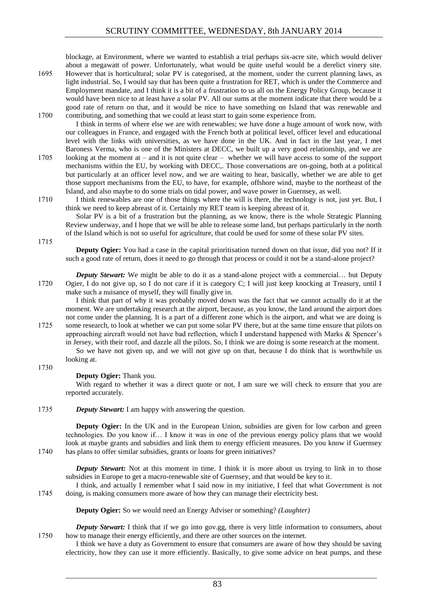blockage, at Environment, where we wanted to establish a trial perhaps six-acre site, which would deliver about a megawatt of power. Unfortunately, what would be quite useful would be a derelict vinery site. 1695 However that is horticultural; solar PV is categorised, at the moment, under the current planning laws, as light industrial. So, I would say that has been quite a frustration for RET, which is under the Commerce and Employment mandate, and I think it is a bit of a frustration to us all on the Energy Policy Group, because it

would have been nice to at least have a solar PV. All our sums at the moment indicate that there would be a good rate of return on that, and it would be nice to have something on Island that was renewable and 1700 contributing, and something that we could at least start to gain some experience from.

I think in terms of where else we are with renewables; we have done a huge amount of work now, with our colleagues in France, and engaged with the French both at political level, officer level and educational level with the links with universities, as we have done in the UK. And in fact in the last year, I met Baroness Verma, who is one of the Ministers at DECC, we built up a very good relationship, and we are 1705 looking at the moment at – and it is not quite clear – whether we will have access to some of the support mechanisms within the EU, by working with DECC,. Those conversations are on-going, both at a political but particularly at an officer level now, and we are waiting to hear, basically, whether we are able to get those support mechanisms from the EU, to have, for example, offshore wind, maybe to the northeast of the Island, and also maybe to do some trials on tidal power, and wave power in Guernsey, as well.

1710 I think renewables are one of those things where the will is there, the technology is not, just yet. But, I think we need to keep abreast of it. Certainly my RET team is keeping abreast of it.

Solar PV is a bit of a frustration but the planning, as we know, there is the whole Strategic Planning Review underway, and I hope that we will be able to release some land, but perhaps particularly in the north of the Island which is not so useful for agriculture, that could be used for some of these solar PV sites.

1715

**Deputy Ogier:** You had a case in the capital prioritisation turned down on that issue, did you not? If it such a good rate of return, does it need to go through that process or could it not be a stand-alone project?

*Deputy Stewart:* We might be able to do it as a stand-alone project with a commercial... but Deputy 1720 Ogier, I do not give up, so I do not care if it is category C; I will just keep knocking at Treasury, until I make such a nuisance of myself, they will finally give in.

I think that part of why it was probably moved down was the fact that we cannot actually do it at the moment. We are undertaking research at the airport, because, as you know, the land around the airport does not come under the planning. It is a part of a different zone which is the airport, and what we are doing is 1725 some research, to look at whether we can put some solar PV there, but at the same time ensure that pilots on approaching aircraft would not have bad reflection, which I understand happened with Marks & Spencer's in Jersey, with their roof, and dazzle all the pilots. So, I think we are doing is some research at the moment.

So we have not given up, and we will not give up on that, because I do think that is worthwhile us looking at.

1730

# **Deputy Ogier:** Thank you.

With regard to whether it was a direct quote or not, I am sure we will check to ensure that you are reported accurately.

1735 *Deputy Stewart:* I am happy with answering the question.

**Deputy Ogier:** In the UK and in the European Union, subsidies are given for low carbon and green technologies. Do you know if… I know it was in one of the previous energy policy plans that we would look at maybe grants and subsidies and link them to energy efficient measures. Do you know if Guernsey 1740 has plans to offer similar subsidies, grants or loans for green initiatives?

*Deputy Stewart:* Not at this moment in time. I think it is more about us trying to link in to those subsidies in Europe to get a macro-renewable site of Guernsey, and that would be key to it.

I think, and actually I remember what I said now in my initiative, I feel that what Government is not 1745 doing, is making consumers more aware of how they can manage their electricity best.

**Deputy Ogier:** So we would need an Energy Adviser or something? *(Laughter)*

*Deputy Stewart:* I think that if we go into gov.gg, there is very little information to consumers, about 1750 how to manage their energy efficiently, and there are other sources on the internet.

I think we have a duty as Government to ensure that consumers are aware of how they should be saving electricity, how they can use it more efficiently. Basically, to give some advice on heat pumps, and these